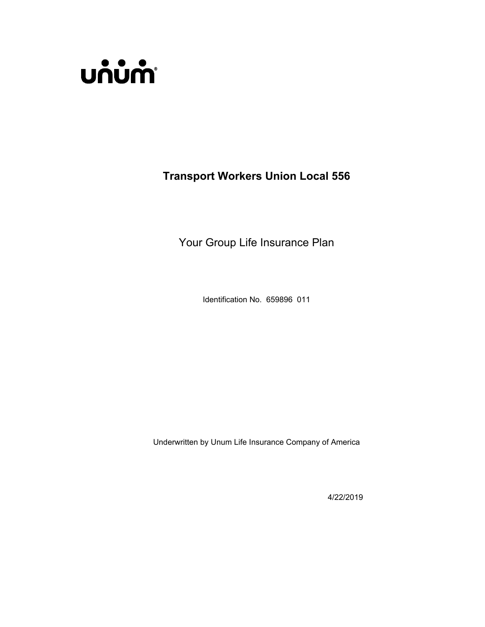

**Transport Workers Union Local 556**

Your Group Life Insurance Plan

Identification No. 659896 011

Underwritten by Unum Life Insurance Company of America

4/22/2019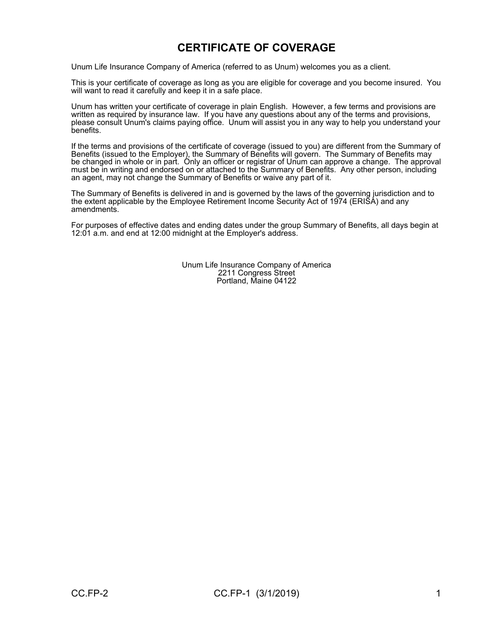# **CERTIFICATE OF COVERAGE**

Unum Life Insurance Company of America (referred to as Unum) welcomes you as a client.

This is your certificate of coverage as long as you are eligible for coverage and you become insured. You will want to read it carefully and keep it in a safe place.

Unum has written your certificate of coverage in plain English. However, a few terms and provisions are written as required by insurance law. If you have any questions about any of the terms and provisions, please consult Unum's claims paying office. Unum will assist you in any way to help you understand your benefits.

If the terms and provisions of the certificate of coverage (issued to you) are different from the Summary of Benefits (issued to the Employer), the Summary of Benefits will govern. The Summary of Benefits may be changed in whole or in part. Only an officer or registrar of Unum can approve a change. The approval must be in writing and endorsed on or attached to the Summary of Benefits. Any other person, including an agent, may not change the Summary of Benefits or waive any part of it.

The Summary of Benefits is delivered in and is governed by the laws of the governing jurisdiction and to the extent applicable by the Employee Retirement Income Security Act of 1974 (ERISA) and any amendments.

For purposes of effective dates and ending dates under the group Summary of Benefits, all days begin at 12:01 a.m. and end at 12:00 midnight at the Employer's address.

> Unum Life Insurance Company of America 2211 Congress Street Portland, Maine 04122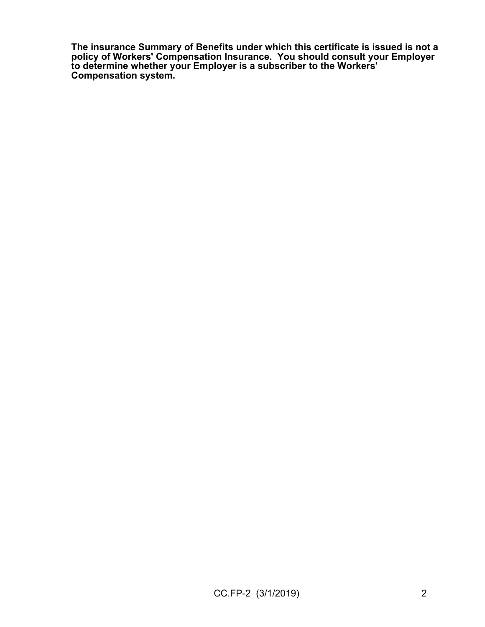**The insurance Summary of Benefits under which this certificate is issued is not a policy of Workers' Compensation Insurance. You should consult your Employer to determine whether your Employer is a subscriber to the Workers' Compensation system.**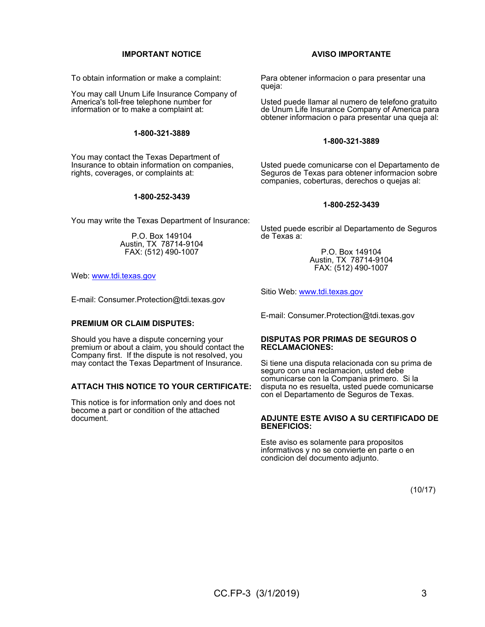### **IMPORTANT NOTICE**

To obtain information or make a complaint:

You may call Unum Life Insurance Company of America's toll-free telephone number for information or to make a complaint at:

### **1-800-321-3889**

You may contact the Texas Department of Insurance to obtain information on companies, rights, coverages, or complaints at:

### **1-800-252-3439**

You may write the Texas Department of Insurance:

P.O. Box 149104 Austin, TX 78714-9104 FAX: (512) 490-1007

Web: [www.tdi.texas.gov](http://www.tdi.texas.gov/)

E-mail: Consumer.Protection@tdi.texas.gov

### **PREMIUM OR CLAIM DISPUTES:**

Should you have a dispute concerning your premium or about a claim, you should contact the Company first. If the dispute is not resolved, you may contact the Texas Department of Insurance.

### **ATTACH THIS NOTICE TO YOUR CERTIFICATE:**

This notice is for information only and does not become a part or condition of the attached document.

### **AVISO IMPORTANTE**

Para obtener informacion o para presentar una queja:

Usted puede llamar al numero de telefono gratuito de Unum Life Insurance Company of America para obtener informacion o para presentar una queja al:

### **1-800-321-3889**

Usted puede comunicarse con el Departamento de Seguros de Texas para obtener informacion sobre companies, coberturas, derechos o quejas al:

### **1-800-252-3439**

Usted puede escribir al Departamento de Seguros de Texas a:

> P.O. Box 149104 Austin, TX 78714-9104 FAX: (512) 490-1007

Sitio Web: [www.tdi.texas.gov](http://www.tdi.texas.gov/)

E-mail: Consumer.Protection@tdi.texas.gov

#### **DISPUTAS POR PRIMAS DE SEGUROS O RECLAMACIONES:**

Si tiene una disputa relacionada con su prima de seguro con una reclamacion, usted debe comunicarse con la Compania primero. Si la disputa no es resuelta, usted puede comunicarse con el Departamento de Seguros de Texas.

#### **ADJUNTE ESTE AVISO A SU CERTIFICADO DE BENEFICIOS:**

Este aviso es solamente para propositos informativos y no se convierte en parte o en condicion del documento adjunto.

(10/17)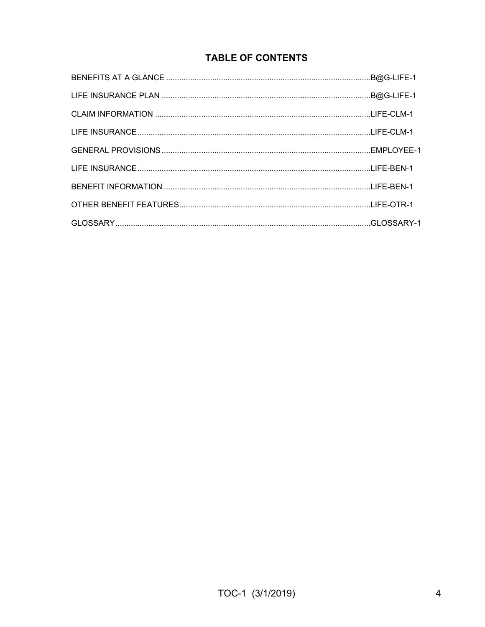# **TABLE OF CONTENTS**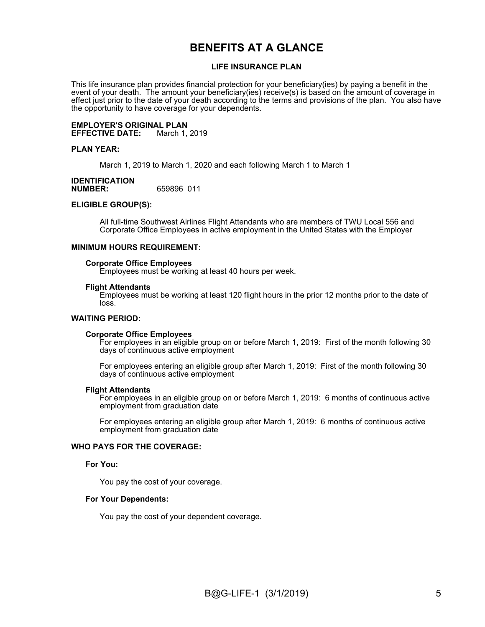# **BENEFITS AT A GLANCE**

### **LIFE INSURANCE PLAN**

This life insurance plan provides financial protection for your beneficiary(ies) by paying a benefit in the event of your death. The amount your beneficiary(ies) receive(s) is based on the amount of coverage in effect just prior to the date of your death according to the terms and provisions of the plan. You also have the opportunity to have coverage for your dependents.

**EMPLOYER'S ORIGINAL PLAN EFFECTIVE DATE:** 

### **PLAN YEAR:**

March 1, 2019 to March 1, 2020 and each following March 1 to March 1

### **IDENTIFICATION NUMBER:** 659896 011

### **ELIGIBLE GROUP(S):**

All full-time Southwest Airlines Flight Attendants who are members of TWU Local 556 and Corporate Office Employees in active employment in the United States with the Employer

### **MINIMUM HOURS REQUIREMENT:**

#### **Corporate Office Employees**

Employees must be working at least 40 hours per week.

### **Flight Attendants**

Employees must be working at least 120 flight hours in the prior 12 months prior to the date of loss.

### **WAITING PERIOD:**

#### **Corporate Office Employees**

For employees in an eligible group on or before March 1, 2019: First of the month following 30 days of continuous active employment

For employees entering an eligible group after March 1, 2019: First of the month following 30 days of continuous active employment

#### **Flight Attendants**

For employees in an eligible group on or before March 1, 2019: 6 months of continuous active employment from graduation date

For employees entering an eligible group after March 1, 2019: 6 months of continuous active employment from graduation date

### **WHO PAYS FOR THE COVERAGE:**

#### **For You:**

You pay the cost of your coverage.

#### **For Your Dependents:**

You pay the cost of your dependent coverage.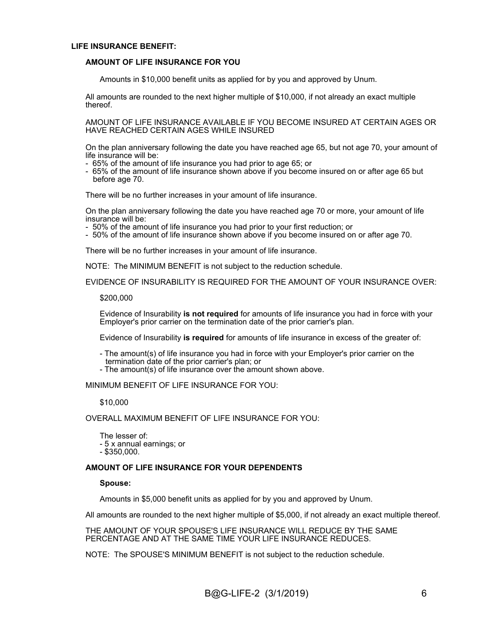### **LIFE INSURANCE BENEFIT:**

### **AMOUNT OF LIFE INSURANCE FOR YOU**

Amounts in \$10,000 benefit units as applied for by you and approved by Unum.

All amounts are rounded to the next higher multiple of \$10,000, if not already an exact multiple thereof.

AMOUNT OF LIFE INSURANCE AVAILABLE IF YOU BECOME INSURED AT CERTAIN AGES OR HAVE REACHED CERTAIN AGES WHILE INSURED

On the plan anniversary following the date you have reached age 65, but not age 70, your amount of life insurance will be:

- 65% of the amount of life insurance you had prior to age 65; or
- 65% of the amount of life insurance shown above if you become insured on or after age 65 but before age 70.

There will be no further increases in your amount of life insurance.

On the plan anniversary following the date you have reached age 70 or more, your amount of life insurance will be:

- 50% of the amount of life insurance you had prior to your first reduction; or

- 50% of the amount of life insurance shown above if you become insured on or after age 70.

There will be no further increases in your amount of life insurance.

NOTE: The MINIMUM BENEFIT is not subject to the reduction schedule.

EVIDENCE OF INSURABILITY IS REQUIRED FOR THE AMOUNT OF YOUR INSURANCE OVER:

#### \$200,000

Evidence of Insurability **is not required** for amounts of life insurance you had in force with your Employer's prior carrier on the termination date of the prior carrier's plan.

Evidence of Insurability **is required** for amounts of life insurance in excess of the greater of:

- The amount(s) of life insurance you had in force with your Employer's prior carrier on the termination date of the prior carrier's plan; or

- The amount(s) of life insurance over the amount shown above.

MINIMUM BENEFIT OF LIFE INSURANCE FOR YOU:

### \$10,000

OVERALL MAXIMUM BENEFIT OF LIFE INSURANCE FOR YOU:

The lesser of: - 5 x annual earnings; or - \$350,000.

### **AMOUNT OF LIFE INSURANCE FOR YOUR DEPENDENTS**

**Spouse:**

Amounts in \$5,000 benefit units as applied for by you and approved by Unum.

All amounts are rounded to the next higher multiple of \$5,000, if not already an exact multiple thereof.

THE AMOUNT OF YOUR SPOUSE'S LIFE INSURANCE WILL REDUCE BY THE SAME PERCENTAGE AND AT THE SAME TIME YOUR LIFE INSURANCE REDUCES.

NOTE: The SPOUSE'S MINIMUM BENEFIT is not subject to the reduction schedule.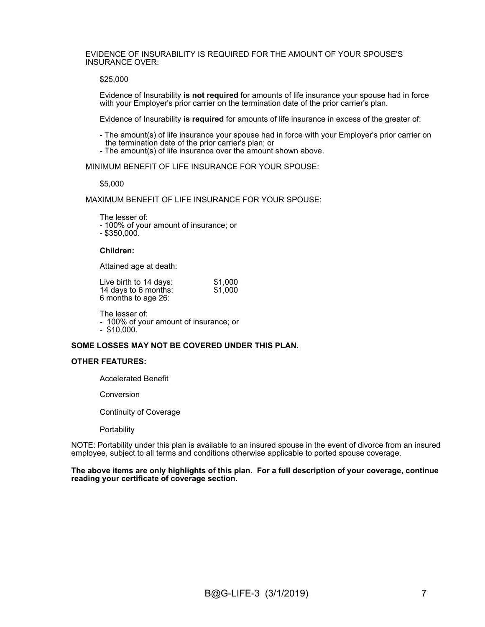EVIDENCE OF INSURABILITY IS REQUIRED FOR THE AMOUNT OF YOUR SPOUSE'S INSURANCE OVER:

\$25,000

Evidence of Insurability **is not required** for amounts of life insurance your spouse had in force with your Employer's prior carrier on the termination date of the prior carrier's plan.

Evidence of Insurability **is required** for amounts of life insurance in excess of the greater of:

- The amount(s) of life insurance your spouse had in force with your Employer's prior carrier on the termination date of the prior carrier's plan; or

- The amount(s) of life insurance over the amount shown above.

MINIMUM BENEFIT OF LIFE INSURANCE FOR YOUR SPOUSE:

\$5,000

MAXIMUM BENEFIT OF LIFE INSURANCE FOR YOUR SPOUSE:

The lesser of: - 100% of your amount of insurance; or - \$350,000.

### **Children:**

Attained age at death:

| Live birth to 14 days: | \$1,000 |
|------------------------|---------|
| 14 days to 6 months:   | \$1,000 |
| 6 months to age 26:    |         |

The lesser of:

- 100% of your amount of insurance; or - \$10,000.

### **SOME LOSSES MAY NOT BE COVERED UNDER THIS PLAN.**

### **OTHER FEATURES:**

Accelerated Benefit

Conversion

Continuity of Coverage

**Portability** 

NOTE: Portability under this plan is available to an insured spouse in the event of divorce from an insured employee, subject to all terms and conditions otherwise applicable to ported spouse coverage.

**The above items are only highlights of this plan. For a full description of your coverage, continue reading your certificate of coverage section.**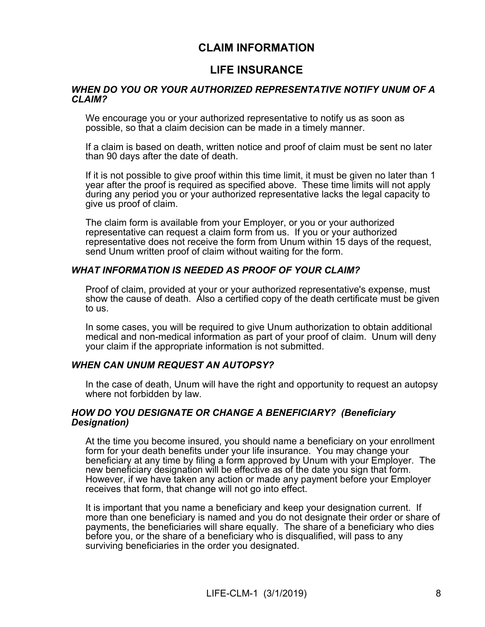# **CLAIM INFORMATION**

# **LIFE INSURANCE**

### *WHEN DO YOU OR YOUR AUTHORIZED REPRESENTATIVE NOTIFY UNUM OF A CLAIM?*

We encourage you or your authorized representative to notify us as soon as possible, so that a claim decision can be made in a timely manner.

If a claim is based on death, written notice and proof of claim must be sent no later than 90 days after the date of death.

If it is not possible to give proof within this time limit, it must be given no later than 1 year after the proof is required as specified above. These time limits will not apply during any period you or your authorized representative lacks the legal capacity to give us proof of claim.

The claim form is available from your Employer, or you or your authorized representative can request a claim form from us. If you or your authorized representative does not receive the form from Unum within 15 days of the request, send Unum written proof of claim without waiting for the form.

### *WHAT INFORMATION IS NEEDED AS PROOF OF YOUR CLAIM?*

Proof of claim, provided at your or your authorized representative's expense, must show the cause of death. Also a certified copy of the death certificate must be given to us.

In some cases, you will be required to give Unum authorization to obtain additional medical and non-medical information as part of your proof of claim. Unum will deny your claim if the appropriate information is not submitted.

### *WHEN CAN UNUM REQUEST AN AUTOPSY?*

In the case of death, Unum will have the right and opportunity to request an autopsy where not forbidden by law.

### *HOW DO YOU DESIGNATE OR CHANGE A BENEFICIARY? (Beneficiary Designation)*

At the time you become insured, you should name a beneficiary on your enrollment form for your death benefits under your life insurance. You may change your beneficiary at any time by filing a form approved by Unum with your Employer. The new beneficiary designation will be effective as of the date you sign that form. However, if we have taken any action or made any payment before your Employer receives that form, that change will not go into effect.

It is important that you name a beneficiary and keep your designation current. If more than one beneficiary is named and you do not designate their order or share of payments, the beneficiaries will share equally. The share of a beneficiary who dies before you, or the share of a beneficiary who is disqualified, will pass to any surviving beneficiaries in the order you designated.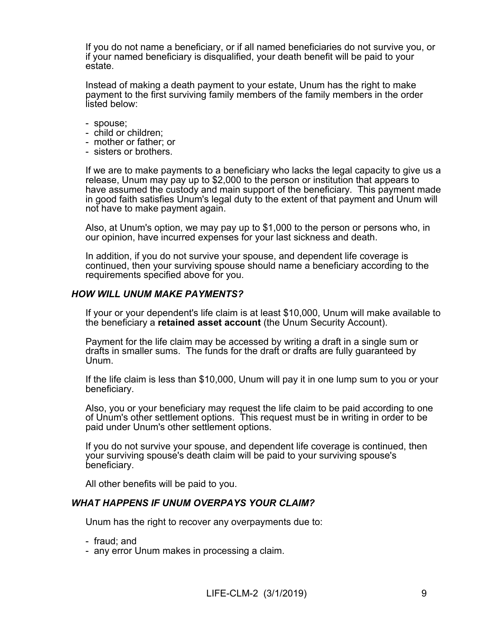If you do not name a beneficiary, or if all named beneficiaries do not survive you, or if your named beneficiary is disqualified, your death benefit will be paid to your estate.

Instead of making a death payment to your estate, Unum has the right to make payment to the first surviving family members of the family members in the order listed below:

- spouse;
- child or children;
- mother or father; or
- sisters or brothers.

If we are to make payments to a beneficiary who lacks the legal capacity to give us a release, Unum may pay up to \$2,000 to the person or institution that appears to have assumed the custody and main support of the beneficiary. This payment made in good faith satisfies Unum's legal duty to the extent of that payment and Unum will not have to make payment again.

Also, at Unum's option, we may pay up to \$1,000 to the person or persons who, in our opinion, have incurred expenses for your last sickness and death.

In addition, if you do not survive your spouse, and dependent life coverage is continued, then your surviving spouse should name a beneficiary according to the requirements specified above for you.

### *HOW WILL UNUM MAKE PAYMENTS?*

If your or your dependent's life claim is at least \$10,000, Unum will make available to the beneficiary a **retained asset account** (the Unum Security Account).

Payment for the life claim may be accessed by writing a draft in a single sum or drafts in smaller sums. The funds for the draft or drafts are fully guaranteed by Unum.

If the life claim is less than \$10,000, Unum will pay it in one lump sum to you or your beneficiary.

Also, you or your beneficiary may request the life claim to be paid according to one of Unum's other settlement options. This request must be in writing in order to be paid under Unum's other settlement options.

If you do not survive your spouse, and dependent life coverage is continued, then your surviving spouse's death claim will be paid to your surviving spouse's beneficiary.

All other benefits will be paid to you.

### *WHAT HAPPENS IF UNUM OVERPAYS YOUR CLAIM?*

Unum has the right to recover any overpayments due to:

- fraud; and
- any error Unum makes in processing a claim.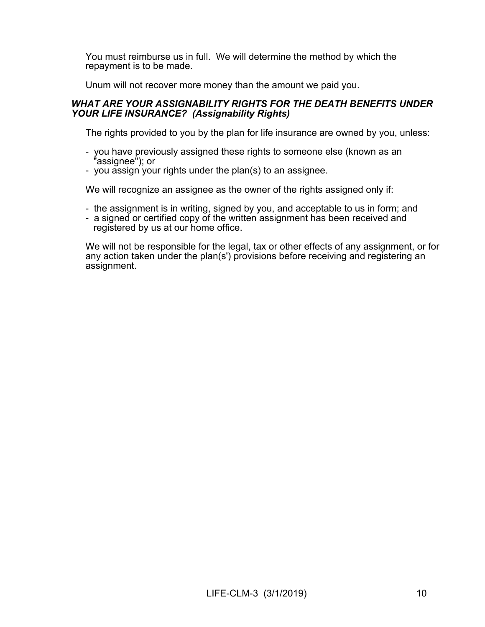You must reimburse us in full. We will determine the method by which the repayment is to be made.

Unum will not recover more money than the amount we paid you.

### *WHAT ARE YOUR ASSIGNABILITY RIGHTS FOR THE DEATH BENEFITS UNDER YOUR LIFE INSURANCE? (Assignability Rights)*

The rights provided to you by the plan for life insurance are owned by you, unless:

- you have previously assigned these rights to someone else (known as an "assignee"); or
- you assign your rights under the plan(s) to an assignee.

We will recognize an assignee as the owner of the rights assigned only if:

- the assignment is in writing, signed by you, and acceptable to us in form; and
- a signed or certified copy of the written assignment has been received and registered by us at our home office.

We will not be responsible for the legal, tax or other effects of any assignment, or for any action taken under the plan(s') provisions before receiving and registering an assignment.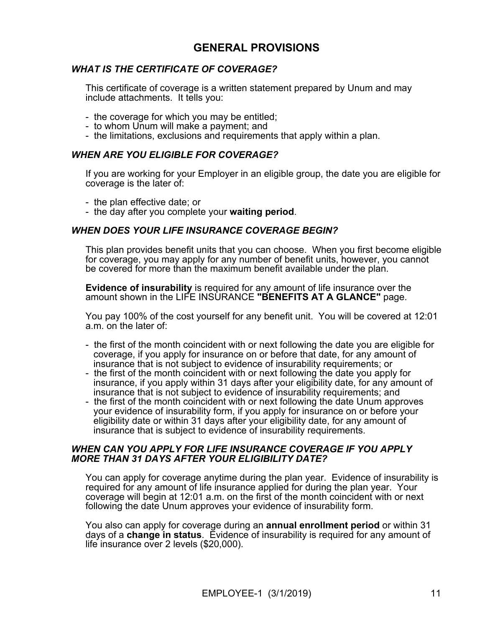# **GENERAL PROVISIONS**

# *WHAT IS THE CERTIFICATE OF COVERAGE?*

This certificate of coverage is a written statement prepared by Unum and may include attachments. It tells you:

- the coverage for which you may be entitled;
- to whom Unum will make a payment; and
- the limitations, exclusions and requirements that apply within a plan.

### *WHEN ARE YOU ELIGIBLE FOR COVERAGE?*

If you are working for your Employer in an eligible group, the date you are eligible for coverage is the later of:

- the plan effective date; or
- the day after you complete your **waiting period**.

### *WHEN DOES YOUR LIFE INSURANCE COVERAGE BEGIN?*

This plan provides benefit units that you can choose. When you first become eligible for coverage, you may apply for any number of benefit units, however, you cannot be covered for more than the maximum benefit available under the plan.

**Evidence of insurability** is required for any amount of life insurance over the amount shown in the LIFE INSURANCE **"BENEFITS AT A GLANCE"** page.

You pay 100% of the cost yourself for any benefit unit. You will be covered at 12:01 a.m. on the later of:

- the first of the month coincident with or next following the date you are eligible for coverage, if you apply for insurance on or before that date, for any amount of insurance that is not subject to evidence of insurability requirements; or
- the first of the month coincident with or next following the date you apply for insurance, if you apply within 31 days after your eligibility date, for any amount of insurance that is not subject to evidence of insurability requirements; and
- the first of the month coincident with or next following the date Unum approves your evidence of insurability form, if you apply for insurance on or before your eligibility date or within 31 days after your eligibility date, for any amount of insurance that is subject to evidence of insurability requirements.

### *WHEN CAN YOU APPLY FOR LIFE INSURANCE COVERAGE IF YOU APPLY MORE THAN 31 DAYS AFTER YOUR ELIGIBILITY DATE?*

You can apply for coverage anytime during the plan year. Evidence of insurability is required for any amount of life insurance applied for during the plan year. Your coverage will begin at 12:01 a.m. on the first of the month coincident with or next following the date Unum approves your evidence of insurability form.

You also can apply for coverage during an **annual enrollment period** or within 31 days of a **change in status**. Evidence of insurability is required for any amount of life insurance over 2 levels (\$20,000).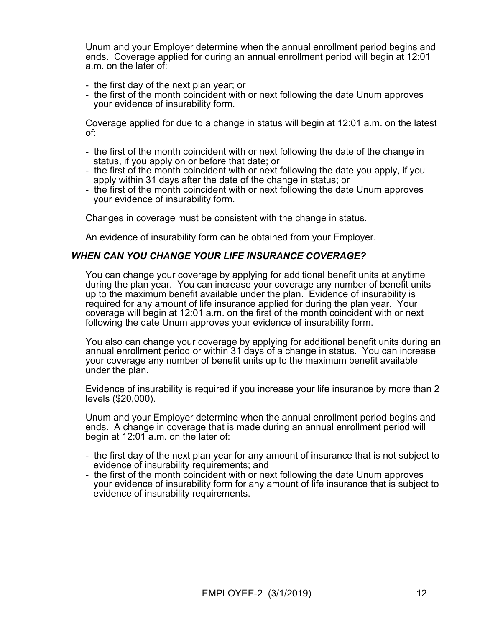Unum and your Employer determine when the annual enrollment period begins and ends. Coverage applied for during an annual enrollment period will begin at 12:01 a.m. on the later of:

- the first day of the next plan year; or
- the first of the month coincident with or next following the date Unum approves your evidence of insurability form.

Coverage applied for due to a change in status will begin at 12:01 a.m. on the latest of:

- the first of the month coincident with or next following the date of the change in status, if you apply on or before that date; or
- the first of the month coincident with or next following the date you apply, if you apply within 31 days after the date of the change in status; or
- the first of the month coincident with or next following the date Unum approves your evidence of insurability form.

Changes in coverage must be consistent with the change in status.

An evidence of insurability form can be obtained from your Employer.

### *WHEN CAN YOU CHANGE YOUR LIFE INSURANCE COVERAGE?*

You can change your coverage by applying for additional benefit units at anytime during the plan year. You can increase your coverage any number of benefit units up to the maximum benefit available under the plan. Evidence of insurability is required for any amount of life insurance applied for during the plan year. Your coverage will begin at 12:01 a.m. on the first of the month coincident with or next following the date Unum approves your evidence of insurability form.

You also can change your coverage by applying for additional benefit units during an annual enrollment period or within 31 days of a change in status. You can increase your coverage any number of benefit units up to the maximum benefit available under the plan.

Evidence of insurability is required if you increase your life insurance by more than 2 levels (\$20,000).

Unum and your Employer determine when the annual enrollment period begins and ends. A change in coverage that is made during an annual enrollment period will begin at 12:01 a.m. on the later of:

- the first day of the next plan year for any amount of insurance that is not subject to evidence of insurability requirements; and
- the first of the month coincident with or next following the date Unum approves your evidence of insurability form for any amount of life insurance that is subject to evidence of insurability requirements.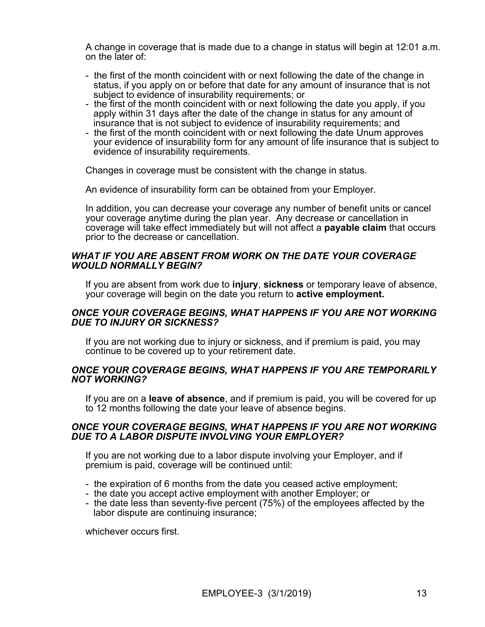A change in coverage that is made due to a change in status will begin at 12:01 a.m. on the later of:

- the first of the month coincident with or next following the date of the change in status, if you apply on or before that date for any amount of insurance that is not subject to evidence of insurability requirements; or
- the first of the month coincident with or next following the date you apply, if you apply within 31 days after the date of the change in status for any amount of insurance that is not subject to evidence of insurability requirements; and
- the first of the month coincident with or next following the date Unum approves your evidence of insurability form for any amount of life insurance that is subject to evidence of insurability requirements.

Changes in coverage must be consistent with the change in status.

An evidence of insurability form can be obtained from your Employer.

In addition, you can decrease your coverage any number of benefit units or cancel your coverage anytime during the plan year. Any decrease or cancellation in coverage will take effect immediately but will not affect a **payable claim** that occurs prior to the decrease or cancellation.

### *WHAT IF YOU ARE ABSENT FROM WORK ON THE DATE YOUR COVERAGE WOULD NORMALLY BEGIN?*

If you are absent from work due to **injury**, **sickness** or temporary leave of absence, your coverage will begin on the date you return to **active employment.**

### *ONCE YOUR COVERAGE BEGINS, WHAT HAPPENS IF YOU ARE NOT WORKING DUE TO INJURY OR SICKNESS?*

If you are not working due to injury or sickness, and if premium is paid, you may continue to be covered up to your retirement date.

### *ONCE YOUR COVERAGE BEGINS, WHAT HAPPENS IF YOU ARE TEMPORARILY NOT WORKING?*

If you are on a **leave of absence**, and if premium is paid, you will be covered for up to 12 months following the date your leave of absence begins.

### *ONCE YOUR COVERAGE BEGINS, WHAT HAPPENS IF YOU ARE NOT WORKING DUE TO A LABOR DISPUTE INVOLVING YOUR EMPLOYER?*

If you are not working due to a labor dispute involving your Employer, and if premium is paid, coverage will be continued until:

- the expiration of 6 months from the date you ceased active employment;
- the date you accept active employment with another Employer; or
- the date less than seventy-five percent (75%) of the employees affected by the labor dispute are continuing insurance;

whichever occurs first.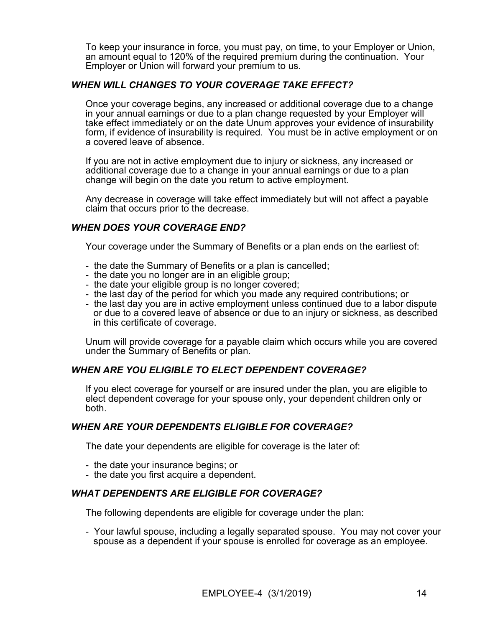To keep your insurance in force, you must pay, on time, to your Employer or Union, an amount equal to 120% of the required premium during the continuation. Your Employer or Union will forward your premium to us.

# *WHEN WILL CHANGES TO YOUR COVERAGE TAKE EFFECT?*

Once your coverage begins, any increased or additional coverage due to a change in your annual earnings or due to a plan change requested by your Employer will take effect immediately or on the date Unum approves your evidence of insurability form, if evidence of insurability is required. You must be in active employment or on a covered leave of absence.

If you are not in active employment due to injury or sickness, any increased or additional coverage due to a change in your annual earnings or due to a plan change will begin on the date you return to active employment.

Any decrease in coverage will take effect immediately but will not affect a payable claim that occurs prior to the decrease.

# *WHEN DOES YOUR COVERAGE END?*

Your coverage under the Summary of Benefits or a plan ends on the earliest of:

- the date the Summary of Benefits or a plan is cancelled;
- the date you no longer are in an eligible group;
- the date your eligible group is no longer covered;
- the last day of the period for which you made any required contributions; or
- the last day you are in active employment unless continued due to a labor dispute or due to a covered leave of absence or due to an injury or sickness, as described in this certificate of coverage.

Unum will provide coverage for a payable claim which occurs while you are covered under the Summary of Benefits or plan.

### *WHEN ARE YOU ELIGIBLE TO ELECT DEPENDENT COVERAGE?*

If you elect coverage for yourself or are insured under the plan, you are eligible to elect dependent coverage for your spouse only, your dependent children only or both.

### *WHEN ARE YOUR DEPENDENTS ELIGIBLE FOR COVERAGE?*

The date your dependents are eligible for coverage is the later of:

- the date your insurance begins; or
- the date you first acquire a dependent.

### *WHAT DEPENDENTS ARE ELIGIBLE FOR COVERAGE?*

The following dependents are eligible for coverage under the plan:

- Your lawful spouse, including a legally separated spouse. You may not cover your spouse as a dependent if your spouse is enrolled for coverage as an employee.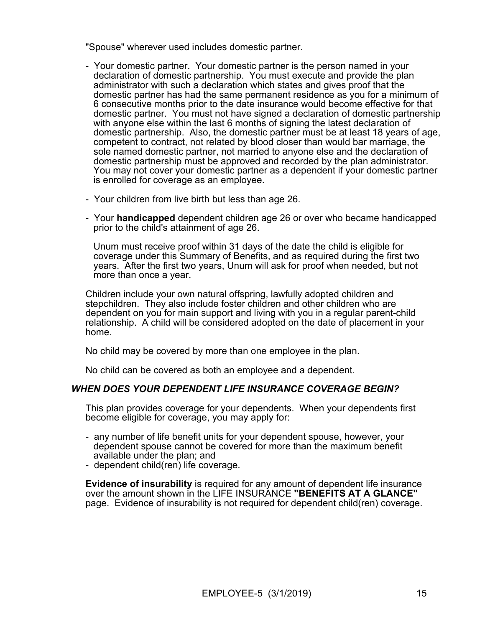"Spouse" wherever used includes domestic partner.

- Your domestic partner. Your domestic partner is the person named in your declaration of domestic partnership. You must execute and provide the plan administrator with such a declaration which states and gives proof that the domestic partner has had the same permanent residence as you for a minimum of 6 consecutive months prior to the date insurance would become effective for that domestic partner. You must not have signed a declaration of domestic partnership with anyone else within the last 6 months of signing the latest declaration of domestic partnership. Also, the domestic partner must be at least 18 years of age, competent to contract, not related by blood closer than would bar marriage, the sole named domestic partner, not married to anyone else and the declaration of domestic partnership must be approved and recorded by the plan administrator. You may not cover your domestic partner as a dependent if your domestic partner is enrolled for coverage as an employee.
- Your children from live birth but less than age 26.
- Your **handicapped** dependent children age 26 or over who became handicapped prior to the child's attainment of age 26.

 Unum must receive proof within 31 days of the date the child is eligible for coverage under this Summary of Benefits, and as required during the first two years. After the first two years, Unum will ask for proof when needed, but not more than once a year.

Children include your own natural offspring, lawfully adopted children and stepchildren. They also include foster children and other children who are dependent on you for main support and living with you in a regular parent-child relationship. A child will be considered adopted on the date of placement in your home.

No child may be covered by more than one employee in the plan.

No child can be covered as both an employee and a dependent.

### *WHEN DOES YOUR DEPENDENT LIFE INSURANCE COVERAGE BEGIN?*

This plan provides coverage for your dependents. When your dependents first become eligible for coverage, you may apply for:

- any number of life benefit units for your dependent spouse, however, your dependent spouse cannot be covered for more than the maximum benefit available under the plan; and
- dependent child(ren) life coverage.

**Evidence of insurability** is required for any amount of dependent life insurance over the amount shown in the LIFE INSURANCE **"BENEFITS AT A GLANCE"** page. Evidence of insurability is not required for dependent child(ren) coverage.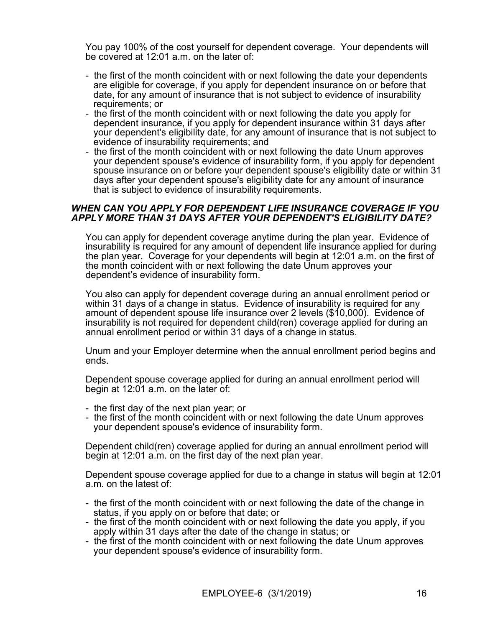You pay 100% of the cost yourself for dependent coverage. Your dependents will be covered at 12:01 a.m. on the later of:

- the first of the month coincident with or next following the date your dependents are eligible for coverage, if you apply for dependent insurance on or before that date, for any amount of insurance that is not subject to evidence of insurability requirements; or
- the first of the month coincident with or next following the date you apply for dependent insurance, if you apply for dependent insurance within 31 days after your dependent's eligibility date, for any amount of insurance that is not subject to evidence of insurability requirements; and
- the first of the month coincident with or next following the date Unum approves your dependent spouse's evidence of insurability form, if you apply for dependent spouse insurance on or before your dependent spouse's eligibility date or within 31 days after your dependent spouse's eligibility date for any amount of insurance that is subject to evidence of insurability requirements.

### *WHEN CAN YOU APPLY FOR DEPENDENT LIFE INSURANCE COVERAGE IF YOU APPLY MORE THAN 31 DAYS AFTER YOUR DEPENDENT'S ELIGIBILITY DATE?*

You can apply for dependent coverage anytime during the plan year. Evidence of insurability is required for any amount of dependent life insurance applied for during the plan year. Coverage for your dependents will begin at 12:01 a.m. on the first of the month coincident with or next following the date Unum approves your dependent's evidence of insurability form.

You also can apply for dependent coverage during an annual enrollment period or within 31 days of a change in status. Evidence of insurability is required for any amount of dependent spouse life insurance over 2 levels (\$10,000). Evidence of insurability is not required for dependent child(ren) coverage applied for during an annual enrollment period or within 31 days of a change in status.

Unum and your Employer determine when the annual enrollment period begins and ends.

Dependent spouse coverage applied for during an annual enrollment period will begin at 12:01 a.m. on the later of:

- the first day of the next plan year; or
- the first of the month coincident with or next following the date Unum approves your dependent spouse's evidence of insurability form.

Dependent child(ren) coverage applied for during an annual enrollment period will begin at 12:01 a.m. on the first day of the next plan year.

Dependent spouse coverage applied for due to a change in status will begin at 12:01 a.m. on the latest of:

- the first of the month coincident with or next following the date of the change in status, if you apply on or before that date; or
- the first of the month coincident with or next following the date you apply, if you apply within 31 days after the date of the change in status; or
- the first of the month coincident with or next following the date Unum approves your dependent spouse's evidence of insurability form.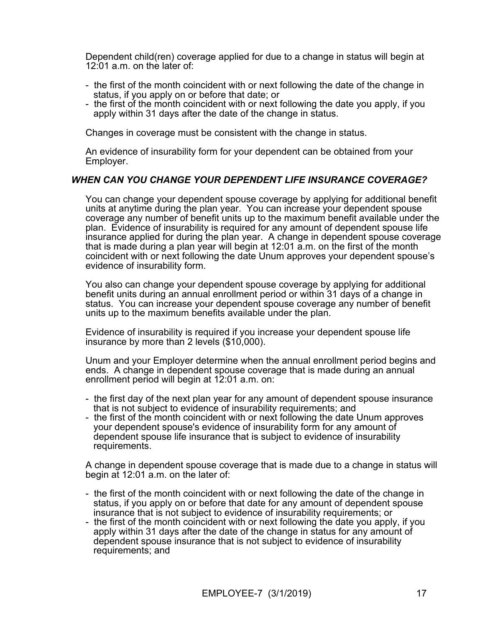Dependent child(ren) coverage applied for due to a change in status will begin at 12:01 a.m. on the later of:

- the first of the month coincident with or next following the date of the change in status, if you apply on or before that date; or
- the first of the month coincident with or next following the date you apply, if you apply within 31 days after the date of the change in status.

Changes in coverage must be consistent with the change in status.

An evidence of insurability form for your dependent can be obtained from your Employer.

# *WHEN CAN YOU CHANGE YOUR DEPENDENT LIFE INSURANCE COVERAGE?*

You can change your dependent spouse coverage by applying for additional benefit units at anytime during the plan year. You can increase your dependent spouse coverage any number of benefit units up to the maximum benefit available under the plan. Evidence of insurability is required for any amount of dependent spouse life insurance applied for during the plan year. A change in dependent spouse coverage that is made during a plan year will begin at 12:01 a.m. on the first of the month coincident with or next following the date Unum approves your dependent spouse's evidence of insurability form.

You also can change your dependent spouse coverage by applying for additional benefit units during an annual enrollment period or within 31 days of a change in status. You can increase your dependent spouse coverage any number of benefit units up to the maximum benefits available under the plan.

Evidence of insurability is required if you increase your dependent spouse life insurance by more than 2 levels (\$10,000).

Unum and your Employer determine when the annual enrollment period begins and ends. A change in dependent spouse coverage that is made during an annual enrollment period will begin at 12:01 a.m. on:

- the first day of the next plan year for any amount of dependent spouse insurance that is not subject to evidence of insurability requirements; and
- the first of the month coincident with or next following the date Unum approves your dependent spouse's evidence of insurability form for any amount of dependent spouse life insurance that is subject to evidence of insurability requirements.

A change in dependent spouse coverage that is made due to a change in status will begin at 12:01 a.m. on the later of:

- the first of the month coincident with or next following the date of the change in status, if you apply on or before that date for any amount of dependent spouse insurance that is not subject to evidence of insurability requirements; or
- the first of the month coincident with or next following the date you apply, if you apply within 31 days after the date of the change in status for any amount of dependent spouse insurance that is not subject to evidence of insurability requirements; and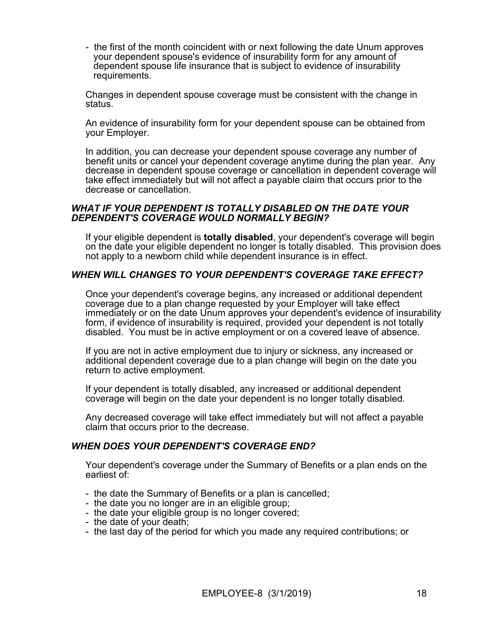- the first of the month coincident with or next following the date Unum approves your dependent spouse's evidence of insurability form for any amount of dependent spouse life insurance that is subject to evidence of insurability requirements.

Changes in dependent spouse coverage must be consistent with the change in status.

An evidence of insurability form for your dependent spouse can be obtained from your Employer.

In addition, you can decrease your dependent spouse coverage any number of benefit units or cancel your dependent coverage anytime during the plan year. Any decrease in dependent spouse coverage or cancellation in dependent coverage will take effect immediately but will not affect a payable claim that occurs prior to the decrease or cancellation.

### *WHAT IF YOUR DEPENDENT IS TOTALLY DISABLED ON THE DATE YOUR DEPENDENT'S COVERAGE WOULD NORMALLY BEGIN?*

If your eligible dependent is **totally disabled**, your dependent's coverage will begin on the date your eligible dependent no longer is totally disabled. This provision does not apply to a newborn child while dependent insurance is in effect.

### *WHEN WILL CHANGES TO YOUR DEPENDENT'S COVERAGE TAKE EFFECT?*

Once your dependent's coverage begins, any increased or additional dependent coverage due to a plan change requested by your Employer will take effect immediately or on the date Unum approves your dependent's evidence of insurability form, if evidence of insurability is required, provided your dependent is not totally disabled. You must be in active employment or on a covered leave of absence.

If you are not in active employment due to injury or sickness, any increased or additional dependent coverage due to a plan change will begin on the date you return to active employment.

If your dependent is totally disabled, any increased or additional dependent coverage will begin on the date your dependent is no longer totally disabled.

Any decreased coverage will take effect immediately but will not affect a payable claim that occurs prior to the decrease.

### *WHEN DOES YOUR DEPENDENT'S COVERAGE END?*

Your dependent's coverage under the Summary of Benefits or a plan ends on the earliest of:

- the date the Summary of Benefits or a plan is cancelled;
- the date you no longer are in an eligible group;
- the date your eligible group is no longer covered;
- the date of your death;
- the last day of the period for which you made any required contributions; or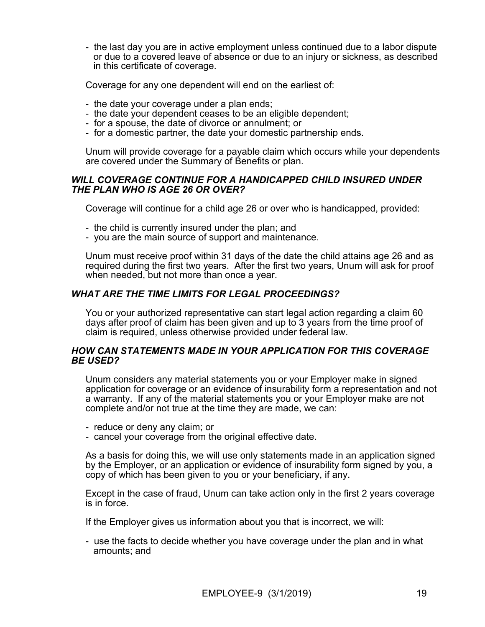- the last day you are in active employment unless continued due to a labor dispute or due to a covered leave of absence or due to an injury or sickness, as described in this certificate of coverage.

Coverage for any one dependent will end on the earliest of:

- the date your coverage under a plan ends;
- the date your dependent ceases to be an eligible dependent;
- for a spouse, the date of divorce or annulment; or
- for a domestic partner, the date your domestic partnership ends.

Unum will provide coverage for a payable claim which occurs while your dependents are covered under the Summary of Benefits or plan.

### *WILL COVERAGE CONTINUE FOR A HANDICAPPED CHILD INSURED UNDER THE PLAN WHO IS AGE 26 OR OVER?*

Coverage will continue for a child age 26 or over who is handicapped, provided:

- the child is currently insured under the plan; and
- you are the main source of support and maintenance.

Unum must receive proof within 31 days of the date the child attains age 26 and as required during the first two years. After the first two years, Unum will ask for proof when needed, but not more than once a year.

# *WHAT ARE THE TIME LIMITS FOR LEGAL PROCEEDINGS?*

You or your authorized representative can start legal action regarding a claim 60 days after proof of claim has been given and up to 3 years from the time proof of claim is required, unless otherwise provided under federal law.

### *HOW CAN STATEMENTS MADE IN YOUR APPLICATION FOR THIS COVERAGE BE USED?*

Unum considers any material statements you or your Employer make in signed application for coverage or an evidence of insurability form a representation and not a warranty. If any of the material statements you or your Employer make are not complete and/or not true at the time they are made, we can:

- reduce or deny any claim; or

- cancel your coverage from the original effective date.

As a basis for doing this, we will use only statements made in an application signed by the Employer, or an application or evidence of insurability form signed by you, a copy of which has been given to you or your beneficiary, if any.

Except in the case of fraud, Unum can take action only in the first 2 years coverage is in force.

If the Employer gives us information about you that is incorrect, we will:

- use the facts to decide whether you have coverage under the plan and in what amounts; and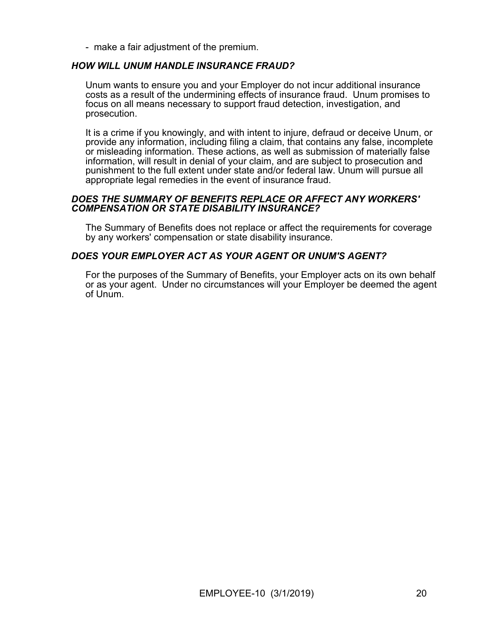- make a fair adjustment of the premium.

### *HOW WILL UNUM HANDLE INSURANCE FRAUD?*

Unum wants to ensure you and your Employer do not incur additional insurance costs as a result of the undermining effects of insurance fraud. Unum promises to focus on all means necessary to support fraud detection, investigation, and prosecution.

It is a crime if you knowingly, and with intent to injure, defraud or deceive Unum, or provide any information, including filing a claim, that contains any false, incomplete or misleading information. These actions, as well as submission of materially false information, will result in denial of your claim, and are subject to prosecution and punishment to the full extent under state and/or federal law. Unum will pursue all appropriate legal remedies in the event of insurance fraud.

### *DOES THE SUMMARY OF BENEFITS REPLACE OR AFFECT ANY WORKERS' COMPENSATION OR STATE DISABILITY INSURANCE?*

The Summary of Benefits does not replace or affect the requirements for coverage by any workers' compensation or state disability insurance.

# *DOES YOUR EMPLOYER ACT AS YOUR AGENT OR UNUM'S AGENT?*

For the purposes of the Summary of Benefits, your Employer acts on its own behalf or as your agent. Under no circumstances will your Employer be deemed the agent of Unum.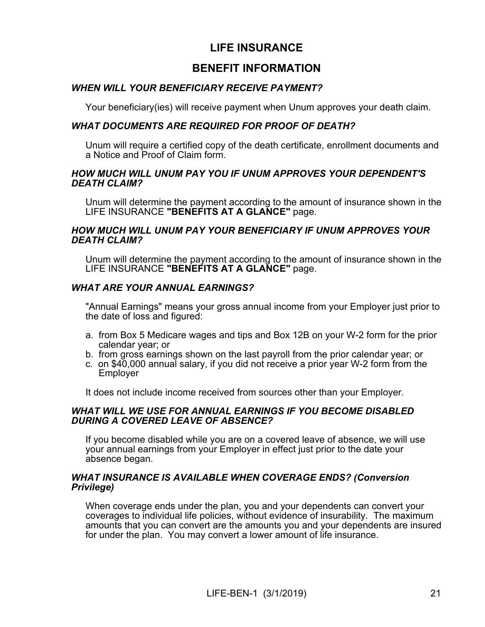# **LIFE INSURANCE**

# **BENEFIT INFORMATION**

# *WHEN WILL YOUR BENEFICIARY RECEIVE PAYMENT?*

Your beneficiary(ies) will receive payment when Unum approves your death claim.

# *WHAT DOCUMENTS ARE REQUIRED FOR PROOF OF DEATH?*

Unum will require a certified copy of the death certificate, enrollment documents and a Notice and Proof of Claim form.

### *HOW MUCH WILL UNUM PAY YOU IF UNUM APPROVES YOUR DEPENDENT'S DEATH CLAIM?*

Unum will determine the payment according to the amount of insurance shown in the LIFE INSURANCE **"BENEFITS AT A GLANCE"** page.

### *HOW MUCH WILL UNUM PAY YOUR BENEFICIARY IF UNUM APPROVES YOUR DEATH CLAIM?*

Unum will determine the payment according to the amount of insurance shown in the LIFE INSURANCE **"BENEFITS AT A GLANCE"** page.

# *WHAT ARE YOUR ANNUAL EARNINGS?*

"Annual Earnings" means your gross annual income from your Employer just prior to the date of loss and figured:

- a. from Box 5 Medicare wages and tips and Box 12B on your W-2 form for the prior calendar year; or
- b. from gross earnings shown on the last payroll from the prior calendar year; or
- c. on \$40,000 annual salary, if you did not receive a prior year W-2 form from the Employer

It does not include income received from sources other than your Employer.

### *WHAT WILL WE USE FOR ANNUAL EARNINGS IF YOU BECOME DISABLED DURING A COVERED LEAVE OF ABSENCE?*

If you become disabled while you are on a covered leave of absence, we will use your annual earnings from your Employer in effect just prior to the date your absence began.

### *WHAT INSURANCE IS AVAILABLE WHEN COVERAGE ENDS? (Conversion Privilege)*

When coverage ends under the plan, you and your dependents can convert your coverages to individual life policies, without evidence of insurability. The maximum amounts that you can convert are the amounts you and your dependents are insured for under the plan. You may convert a lower amount of life insurance.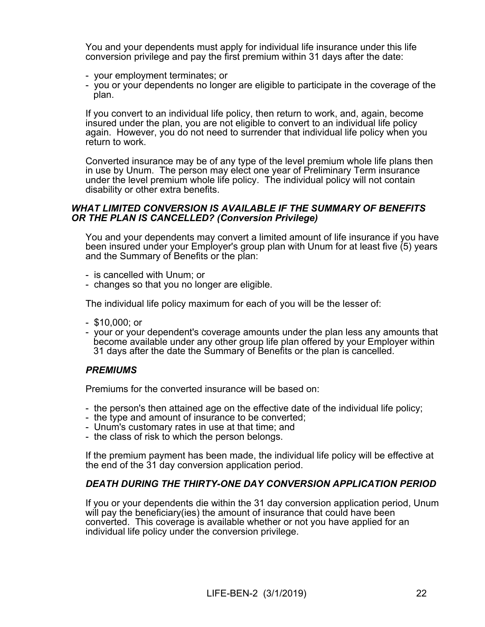You and your dependents must apply for individual life insurance under this life conversion privilege and pay the first premium within 31 days after the date:

- your employment terminates; or
- you or your dependents no longer are eligible to participate in the coverage of the plan.

If you convert to an individual life policy, then return to work, and, again, become insured under the plan, you are not eligible to convert to an individual life policy again. However, you do not need to surrender that individual life policy when you return to work.

Converted insurance may be of any type of the level premium whole life plans then in use by Unum. The person may elect one year of Preliminary Term insurance under the level premium whole life policy. The individual policy will not contain disability or other extra benefits.

### *WHAT LIMITED CONVERSION IS AVAILABLE IF THE SUMMARY OF BENEFITS OR THE PLAN IS CANCELLED? (Conversion Privilege)*

You and your dependents may convert a limited amount of life insurance if you have been insured under your Employer's group plan with Unum for at least five (5) years and the Summary of Benefits or the plan:

- is cancelled with Unum; or
- changes so that you no longer are eligible.

The individual life policy maximum for each of you will be the lesser of:

- \$10,000; or
- your or your dependent's coverage amounts under the plan less any amounts that become available under any other group life plan offered by your Employer within 31 days after the date the Summary of Benefits or the plan is cancelled.

### *PREMIUMS*

Premiums for the converted insurance will be based on:

- the person's then attained age on the effective date of the individual life policy;
- the type and amount of insurance to be converted;
- Unum's customary rates in use at that time; and
- the class of risk to which the person belongs.

If the premium payment has been made, the individual life policy will be effective at the end of the 31 day conversion application period.

### *DEATH DURING THE THIRTY-ONE DAY CONVERSION APPLICATION PERIOD*

If you or your dependents die within the 31 day conversion application period, Unum will pay the beneficiary(ies) the amount of insurance that could have been converted. This coverage is available whether or not you have applied for an individual life policy under the conversion privilege.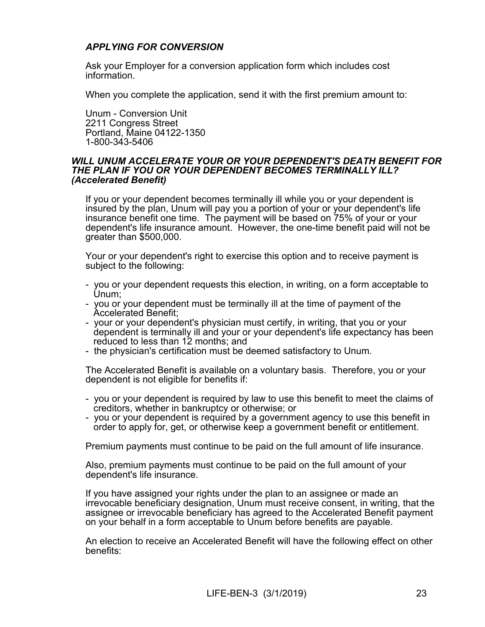# *APPLYING FOR CONVERSION*

Ask your Employer for a conversion application form which includes cost information.

When you complete the application, send it with the first premium amount to:

Unum - Conversion Unit 2211 Congress Street Portland, Maine 04122-1350 1-800-343-5406

### *WILL UNUM ACCELERATE YOUR OR YOUR DEPENDENT'S DEATH BENEFIT FOR THE PLAN IF YOU OR YOUR DEPENDENT BECOMES TERMINALLY ILL? (Accelerated Benefit)*

If you or your dependent becomes terminally ill while you or your dependent is insured by the plan, Unum will pay you a portion of your or your dependent's life insurance benefit one time. The payment will be based on 75% of your or your dependent's life insurance amount. However, the one-time benefit paid will not be greater than \$500,000.

Your or your dependent's right to exercise this option and to receive payment is subject to the following:

- you or your dependent requests this election, in writing, on a form acceptable to Unum;
- you or your dependent must be terminally ill at the time of payment of the Accelerated Benefit;
- your or your dependent's physician must certify, in writing, that you or your dependent is terminally ill and your or your dependent's life expectancy has been reduced to less than 12 months; and
- the physician's certification must be deemed satisfactory to Unum.

The Accelerated Benefit is available on a voluntary basis. Therefore, you or your dependent is not eligible for benefits if:

- you or your dependent is required by law to use this benefit to meet the claims of creditors, whether in bankruptcy or otherwise; or
- you or your dependent is required by a government agency to use this benefit in order to apply for, get, or otherwise keep a government benefit or entitlement.

Premium payments must continue to be paid on the full amount of life insurance.

Also, premium payments must continue to be paid on the full amount of your dependent's life insurance.

If you have assigned your rights under the plan to an assignee or made an irrevocable beneficiary designation, Unum must receive consent, in writing, that the assignee or irrevocable beneficiary has agreed to the Accelerated Benefit payment on your behalf in a form acceptable to Unum before benefits are payable.

An election to receive an Accelerated Benefit will have the following effect on other benefits: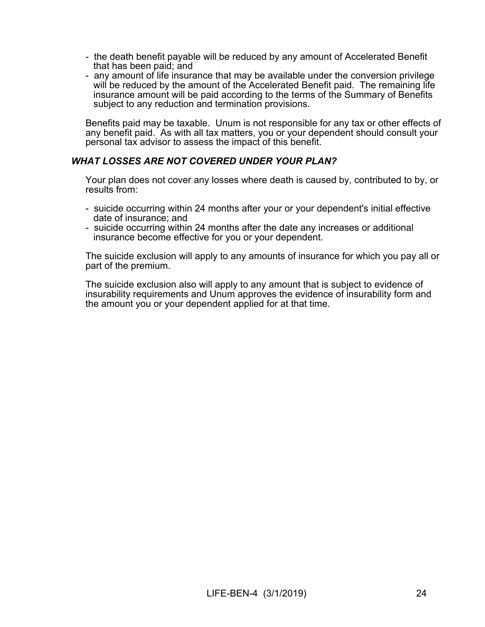- the death benefit payable will be reduced by any amount of Accelerated Benefit that has been paid; and
- any amount of life insurance that may be available under the conversion privilege will be reduced by the amount of the Accelerated Benefit paid. The remaining life insurance amount will be paid according to the terms of the Summary of Benefits subject to any reduction and termination provisions.

Benefits paid may be taxable. Unum is not responsible for any tax or other effects of any benefit paid. As with all tax matters, you or your dependent should consult your personal tax advisor to assess the impact of this benefit.

# *WHAT LOSSES ARE NOT COVERED UNDER YOUR PLAN?*

Your plan does not cover any losses where death is caused by, contributed to by, or results from:

- suicide occurring within 24 months after your or your dependent's initial effective date of insurance; and
- suicide occurring within 24 months after the date any increases or additional insurance become effective for you or your dependent.

The suicide exclusion will apply to any amounts of insurance for which you pay all or part of the premium.

The suicide exclusion also will apply to any amount that is subject to evidence of insurability requirements and Unum approves the evidence of insurability form and the amount you or your dependent applied for at that time.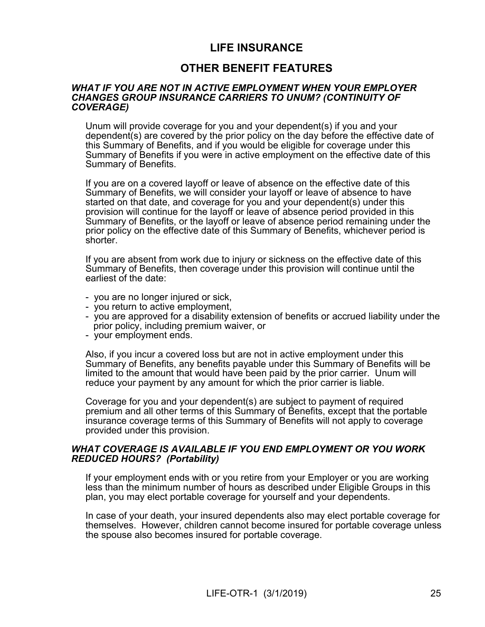# **LIFE INSURANCE**

# **OTHER BENEFIT FEATURES**

### *WHAT IF YOU ARE NOT IN ACTIVE EMPLOYMENT WHEN YOUR EMPLOYER CHANGES GROUP INSURANCE CARRIERS TO UNUM? (CONTINUITY OF COVERAGE)*

Unum will provide coverage for you and your dependent(s) if you and your dependent(s) are covered by the prior policy on the day before the effective date of this Summary of Benefits, and if you would be eligible for coverage under this Summary of Benefits if you were in active employment on the effective date of this Summary of Benefits.

If you are on a covered layoff or leave of absence on the effective date of this Summary of Benefits, we will consider your layoff or leave of absence to have started on that date, and coverage for you and your dependent(s) under this provision will continue for the layoff or leave of absence period provided in this Summary of Benefits, or the layoff or leave of absence period remaining under the prior policy on the effective date of this Summary of Benefits, whichever period is shorter.

If you are absent from work due to injury or sickness on the effective date of this Summary of Benefits, then coverage under this provision will continue until the earliest of the date:

- you are no longer injured or sick,
- you return to active employment,
- you are approved for a disability extension of benefits or accrued liability under the prior policy, including premium waiver, or
- your employment ends.

Also, if you incur a covered loss but are not in active employment under this Summary of Benefits, any benefits payable under this Summary of Benefits will be limited to the amount that would have been paid by the prior carrier. Unum will reduce your payment by any amount for which the prior carrier is liable.

Coverage for you and your dependent(s) are subject to payment of required premium and all other terms of this Summary of Benefits, except that the portable insurance coverage terms of this Summary of Benefits will not apply to coverage provided under this provision.

### *WHAT COVERAGE IS AVAILABLE IF YOU END EMPLOYMENT OR YOU WORK REDUCED HOURS? (Portability)*

If your employment ends with or you retire from your Employer or you are working less than the minimum number of hours as described under Eligible Groups in this plan, you may elect portable coverage for yourself and your dependents.

In case of your death, your insured dependents also may elect portable coverage for themselves. However, children cannot become insured for portable coverage unless the spouse also becomes insured for portable coverage.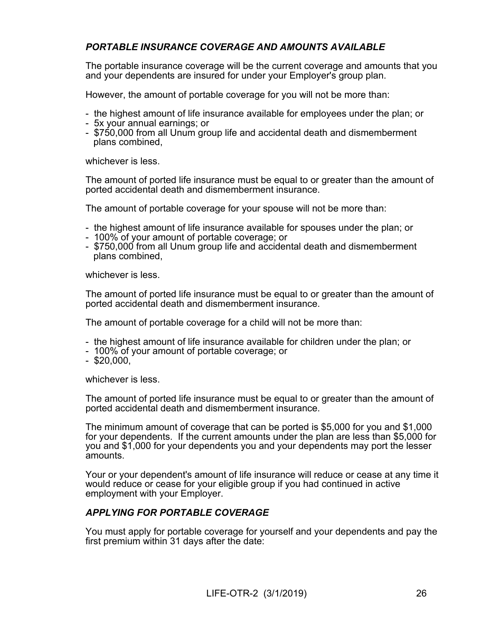# *PORTABLE INSURANCE COVERAGE AND AMOUNTS AVAILABLE*

The portable insurance coverage will be the current coverage and amounts that you and your dependents are insured for under your Employer's group plan.

However, the amount of portable coverage for you will not be more than:

- the highest amount of life insurance available for employees under the plan; or
- 5x your annual earnings; or
- \$750,000 from all Unum group life and accidental death and dismemberment plans combined,

whichever is less.

The amount of ported life insurance must be equal to or greater than the amount of ported accidental death and dismemberment insurance.

The amount of portable coverage for your spouse will not be more than:

- the highest amount of life insurance available for spouses under the plan; or
- 100% of your amount of portable coverage; or
- \$750,000 from all Unum group life and accidental death and dismemberment plans combined,

whichever is less.

The amount of ported life insurance must be equal to or greater than the amount of ported accidental death and dismemberment insurance.

The amount of portable coverage for a child will not be more than:

- the highest amount of life insurance available for children under the plan; or
- 100% of your amount of portable coverage; or
- $-$  \$20,000,

whichever is less.

The amount of ported life insurance must be equal to or greater than the amount of ported accidental death and dismemberment insurance.

The minimum amount of coverage that can be ported is \$5,000 for you and \$1,000 for your dependents. If the current amounts under the plan are less than \$5,000 for you and \$1,000 for your dependents you and your dependents may port the lesser amounts.

Your or your dependent's amount of life insurance will reduce or cease at any time it would reduce or cease for your eligible group if you had continued in active employment with your Employer.

# *APPLYING FOR PORTABLE COVERAGE*

You must apply for portable coverage for yourself and your dependents and pay the first premium within 31 days after the date: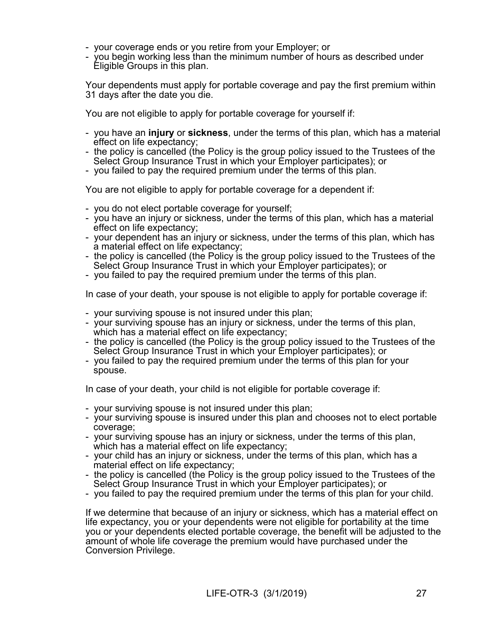- your coverage ends or you retire from your Employer; or
- you begin working less than the minimum number of hours as described under Eligible Groups in this plan.

Your dependents must apply for portable coverage and pay the first premium within 31 days after the date you die.

You are not eligible to apply for portable coverage for yourself if:

- you have an **injury** or **sickness**, under the terms of this plan, which has a material effect on life expectancy;
- the policy is cancelled (the Policy is the group policy issued to the Trustees of the Select Group Insurance Trust in which your Employer participates); or
- you failed to pay the required premium under the terms of this plan.

You are not eligible to apply for portable coverage for a dependent if:

- you do not elect portable coverage for yourself;
- you have an injury or sickness, under the terms of this plan, which has a material effect on life expectancy;
- your dependent has an injury or sickness, under the terms of this plan, which has a material effect on life expectancy;
- the policy is cancelled (the Policy is the group policy issued to the Trustees of the Select Group Insurance Trust in which your Employer participates); or
- you failed to pay the required premium under the terms of this plan.

In case of your death, your spouse is not eligible to apply for portable coverage if:

- your surviving spouse is not insured under this plan;
- your surviving spouse has an injury or sickness, under the terms of this plan, which has a material effect on life expectancy;
- the policy is cancelled (the Policy is the group policy issued to the Trustees of the Select Group Insurance Trust in which your Employer participates); or
- you failed to pay the required premium under the terms of this plan for your spouse.

In case of your death, your child is not eligible for portable coverage if:

- your surviving spouse is not insured under this plan;
- your surviving spouse is insured under this plan and chooses not to elect portable coverage;
- your surviving spouse has an injury or sickness, under the terms of this plan, which has a material effect on life expectancy;
- your child has an injury or sickness, under the terms of this plan, which has a material effect on life expectancy;
- the policy is cancelled (the Policy is the group policy issued to the Trustees of the Select Group Insurance Trust in which your Employer participates); or
- you failed to pay the required premium under the terms of this plan for your child.

If we determine that because of an injury or sickness, which has a material effect on life expectancy, you or your dependents were not eligible for portability at the time you or your dependents elected portable coverage, the benefit will be adjusted to the amount of whole life coverage the premium would have purchased under the Conversion Privilege.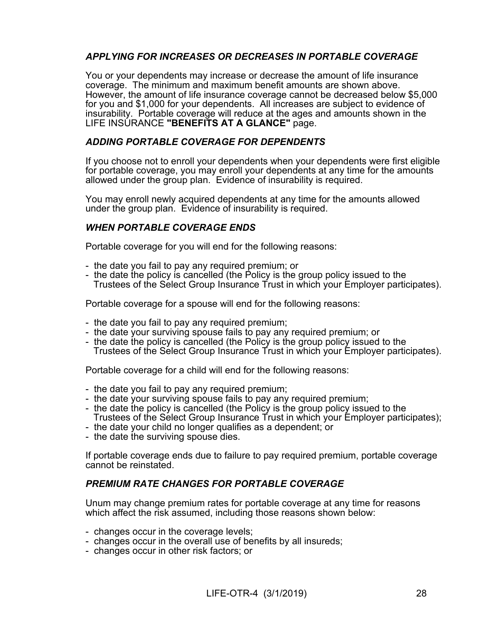# *APPLYING FOR INCREASES OR DECREASES IN PORTABLE COVERAGE*

You or your dependents may increase or decrease the amount of life insurance coverage. The minimum and maximum benefit amounts are shown above. However, the amount of life insurance coverage cannot be decreased below \$5,000 for you and \$1,000 for your dependents. All increases are subject to evidence of insurability. Portable coverage will reduce at the ages and amounts shown in the LIFE INSURANCE **"BENEFITS AT A GLANCE"** page.

# *ADDING PORTABLE COVERAGE FOR DEPENDENTS*

If you choose not to enroll your dependents when your dependents were first eligible for portable coverage, you may enroll your dependents at any time for the amounts allowed under the group plan. Evidence of insurability is required.

You may enroll newly acquired dependents at any time for the amounts allowed under the group plan. Evidence of insurability is required.

# *WHEN PORTABLE COVERAGE ENDS*

Portable coverage for you will end for the following reasons:

- the date you fail to pay any required premium; or
- the date the policy is cancelled (the Policy is the group policy issued to the Trustees of the Select Group Insurance Trust in which your Employer participates).

Portable coverage for a spouse will end for the following reasons:

- the date you fail to pay any required premium;
- the date your surviving spouse fails to pay any required premium; or
- the date the policy is cancelled (the Policy is the group policy issued to the Trustees of the Select Group Insurance Trust in which your Employer participates).

Portable coverage for a child will end for the following reasons:

- the date you fail to pay any required premium;
- the date your surviving spouse fails to pay any required premium;
- the date the policy is cancelled (the Policy is the group policy issued to the Trustees of the Select Group Insurance Trust in which your Employer participates);
- the date your child no longer qualifies as a dependent; or
- the date the surviving spouse dies.

If portable coverage ends due to failure to pay required premium, portable coverage cannot be reinstated.

# *PREMIUM RATE CHANGES FOR PORTABLE COVERAGE*

Unum may change premium rates for portable coverage at any time for reasons which affect the risk assumed, including those reasons shown below:

- changes occur in the coverage levels;
- changes occur in the overall use of benefits by all insureds;
- changes occur in other risk factors; or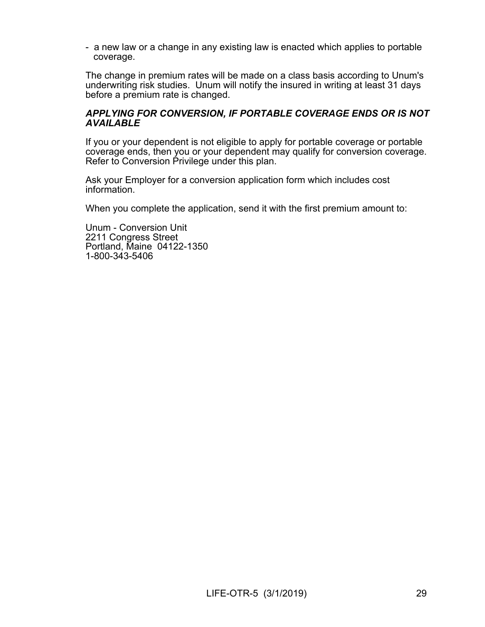- a new law or a change in any existing law is enacted which applies to portable coverage.

The change in premium rates will be made on a class basis according to Unum's underwriting risk studies. Unum will notify the insured in writing at least 31 days before a premium rate is changed.

### *APPLYING FOR CONVERSION, IF PORTABLE COVERAGE ENDS OR IS NOT AVAILABLE*

If you or your dependent is not eligible to apply for portable coverage or portable coverage ends, then you or your dependent may qualify for conversion coverage. Refer to Conversion Privilege under this plan.

Ask your Employer for a conversion application form which includes cost information.

When you complete the application, send it with the first premium amount to:

Unum - Conversion Unit 2211 Congress Street Portland, Maine 04122-1350 1-800-343-5406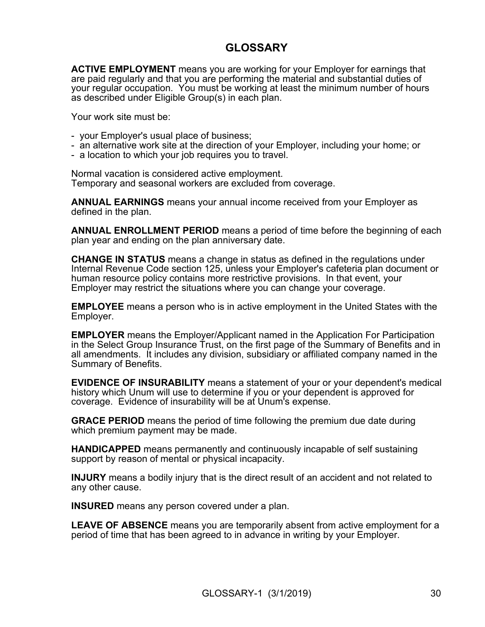# **GLOSSARY**

**ACTIVE EMPLOYMENT** means you are working for your Employer for earnings that are paid regularly and that you are performing the material and substantial duties of your regular occupation. You must be working at least the minimum number of hours as described under Eligible Group(s) in each plan.

Your work site must be:

- your Employer's usual place of business;
- an alternative work site at the direction of your Employer, including your home; or
- a location to which your job requires you to travel.

Normal vacation is considered active employment. Temporary and seasonal workers are excluded from coverage.

**ANNUAL EARNINGS** means your annual income received from your Employer as defined in the plan.

**ANNUAL ENROLLMENT PERIOD** means a period of time before the beginning of each plan year and ending on the plan anniversary date.

**CHANGE IN STATUS** means a change in status as defined in the regulations under Internal Revenue Code section 125, unless your Employer's cafeteria plan document or human resource policy contains more restrictive provisions. In that event, your Employer may restrict the situations where you can change your coverage.

**EMPLOYEE** means a person who is in active employment in the United States with the Employer.

**EMPLOYER** means the Employer/Applicant named in the Application For Participation in the Select Group Insurance Trust, on the first page of the Summary of Benefits and in all amendments. It includes any division, subsidiary or affiliated company named in the Summary of Benefits.

**EVIDENCE OF INSURABILITY** means a statement of your or your dependent's medical history which Unum will use to determine if you or your dependent is approved for coverage. Evidence of insurability will be at Unum's expense.

**GRACE PERIOD** means the period of time following the premium due date during which premium payment may be made.

**HANDICAPPED** means permanently and continuously incapable of self sustaining support by reason of mental or physical incapacity.

**INJURY** means a bodily injury that is the direct result of an accident and not related to any other cause.

**INSURED** means any person covered under a plan.

**LEAVE OF ABSENCE** means you are temporarily absent from active employment for a period of time that has been agreed to in advance in writing by your Employer.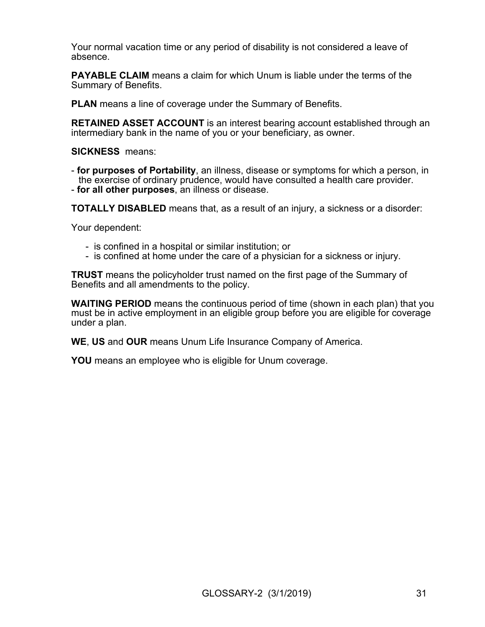Your normal vacation time or any period of disability is not considered a leave of absence.

**PAYABLE CLAIM** means a claim for which Unum is liable under the terms of the Summary of Benefits.

**PLAN** means a line of coverage under the Summary of Benefits.

**RETAINED ASSET ACCOUNT** is an interest bearing account established through an intermediary bank in the name of you or your beneficiary, as owner.

**SICKNESS** means:

- **for purposes of Portability**, an illness, disease or symptoms for which a person, in the exercise of ordinary prudence, would have consulted a health care provider.

- **for all other purposes**, an illness or disease.

**TOTALLY DISABLED** means that, as a result of an injury, a sickness or a disorder:

Your dependent:

- is confined in a hospital or similar institution; or
- is confined at home under the care of a physician for a sickness or injury.

**TRUST** means the policyholder trust named on the first page of the Summary of Benefits and all amendments to the policy.

**WAITING PERIOD** means the continuous period of time (shown in each plan) that you must be in active employment in an eligible group before you are eligible for coverage under a plan.

**WE**, **US** and **OUR** means Unum Life Insurance Company of America.

**YOU** means an employee who is eligible for Unum coverage.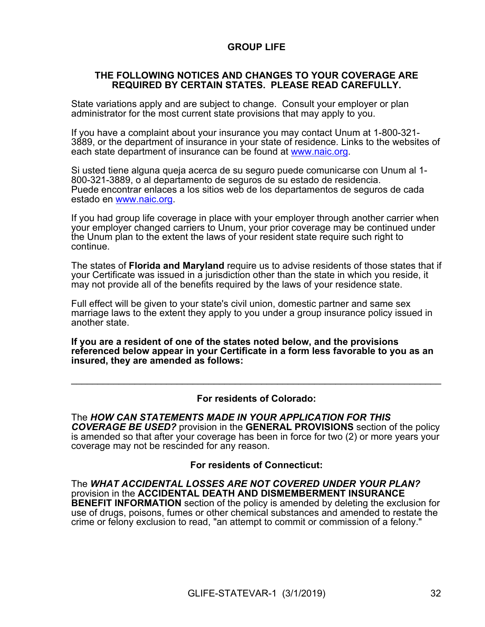# **GROUP LIFE**

### **THE FOLLOWING NOTICES AND CHANGES TO YOUR COVERAGE ARE REQUIRED BY CERTAIN STATES. PLEASE READ CAREFULLY.**

State variations apply and are subject to change. Consult your employer or plan administrator for the most current state provisions that may apply to you.

If you have a complaint about your insurance you may contact Unum at 1-800-321- 3889, or the department of insurance in your state of residence. Links to the websites of each state department of insurance can be found at [www.naic.org.](http://www.naic.org/)

Si usted tiene alguna queja acerca de su seguro puede comunicarse con Unum al 1- 800-321-3889, o al departamento de seguros de su estado de residencia. Puede encontrar enlaces a los sitios web de los departamentos de seguros de cada estado en [www.naic.org](http://www.naic.org/).

If you had group life coverage in place with your employer through another carrier when your employer changed carriers to Unum, your prior coverage may be continued under the Unum plan to the extent the laws of your resident state require such right to continue.

The states of **Florida and Maryland** require us to advise residents of those states that if your Certificate was issued in a jurisdiction other than the state in which you reside, it may not provide all of the benefits required by the laws of your residence state.

Full effect will be given to your state's civil union, domestic partner and same sex marriage laws to the extent they apply to you under a group insurance policy issued in another state.

**If you are a resident of one of the states noted below, and the provisions referenced below appear in your Certificate in a form less favorable to you as an insured, they are amended as follows:**

### **For residents of Colorado:**

 $\mathcal{L}_\text{max} = \mathcal{L}_\text{max} = \mathcal{L}_\text{max} = \mathcal{L}_\text{max} = \mathcal{L}_\text{max} = \mathcal{L}_\text{max} = \mathcal{L}_\text{max} = \mathcal{L}_\text{max} = \mathcal{L}_\text{max} = \mathcal{L}_\text{max} = \mathcal{L}_\text{max} = \mathcal{L}_\text{max} = \mathcal{L}_\text{max} = \mathcal{L}_\text{max} = \mathcal{L}_\text{max} = \mathcal{L}_\text{max} = \mathcal{L}_\text{max} = \mathcal{L}_\text{max} = \mathcal{$ 

The *HOW CAN STATEMENTS MADE IN YOUR APPLICATION FOR THIS COVERAGE BE USED?* provision in the **GENERAL PROVISIONS** section of the policy is amended so that after your coverage has been in force for two (2) or more years your coverage may not be rescinded for any reason.

### **For residents of Connecticut:**

The *WHAT ACCIDENTAL LOSSES ARE NOT COVERED UNDER YOUR PLAN?* provision in the **ACCIDENTAL DEATH AND DISMEMBERMENT INSURANCE BENEFIT INFORMATION** section of the policy is amended by deleting the exclusion for use of drugs, poisons, fumes or other chemical substances and amended to restate the crime or felony exclusion to read, "an attempt to commit or commission of a felony."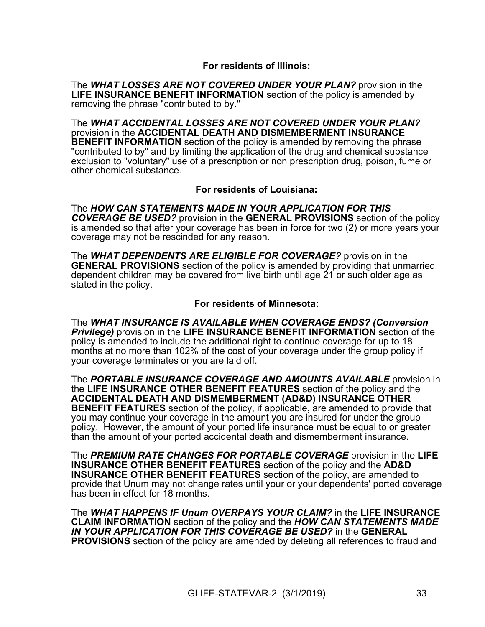### **For residents of Illinois:**

The *WHAT LOSSES ARE NOT COVERED UNDER YOUR PLAN?* provision in the **LIFE INSURANCE BENEFIT INFORMATION** section of the policy is amended by removing the phrase "contributed to by."

The *WHAT ACCIDENTAL LOSSES ARE NOT COVERED UNDER YOUR PLAN?* provision in the **ACCIDENTAL DEATH AND DISMEMBERMENT INSURANCE BENEFIT INFORMATION** section of the policy is amended by removing the phrase "contributed to by" and by limiting the application of the drug and chemical substance exclusion to "voluntary" use of a prescription or non prescription drug, poison, fume or other chemical substance.

**For residents of Louisiana:**

The *HOW CAN STATEMENTS MADE IN YOUR APPLICATION FOR THIS COVERAGE BE USED?* provision in the **GENERAL PROVISIONS** section of the policy is amended so that after your coverage has been in force for two (2) or more years your coverage may not be rescinded for any reason.

The *WHAT DEPENDENTS ARE ELIGIBLE FOR COVERAGE?* provision in the **GENERAL PROVISIONS** section of the policy is amended by providing that unmarried dependent children may be covered from live birth until age 21 or such older age as stated in the policy.

### **For residents of Minnesota:**

The *WHAT INSURANCE IS AVAILABLE WHEN COVERAGE ENDS? (Conversion Privilege)* provision in the **LIFE INSURANCE BENEFIT INFORMATION** section of the policy is amended to include the additional right to continue coverage for up to 18 months at no more than 102% of the cost of your coverage under the group policy if your coverage terminates or you are laid off.

The *PORTABLE INSURANCE COVERAGE AND AMOUNTS AVAILABLE* provision in the **LIFE INSURANCE OTHER BENEFIT FEATURES** section of the policy and the **ACCIDENTAL DEATH AND DISMEMBERMENT (AD&D) INSURANCE OTHER BENEFIT FEATURES** section of the policy, if applicable, are amended to provide that you may continue your coverage in the amount you are insured for under the group policy. However, the amount of your ported life insurance must be equal to or greater than the amount of your ported accidental death and dismemberment insurance.

The *PREMIUM RATE CHANGES FOR PORTABLE COVERAGE* provision in the **LIFE INSURANCE OTHER BENEFIT FEATURES** section of the policy and the **AD&D INSURANCE OTHER BENEFIT FEATURES** section of the policy, are amended to provide that Unum may not change rates until your or your dependents' ported coverage has been in effect for 18 months.

The *WHAT HAPPENS IF Unum OVERPAYS YOUR CLAIM?* in the **LIFE INSURANCE CLAIM INFORMATION** section of the policy and the *HOW CAN STATEMENTS MADE IN YOUR APPLICATION FOR THIS COVERAGE BE USED?* in the **GENERAL PROVISIONS** section of the policy are amended by deleting all references to fraud and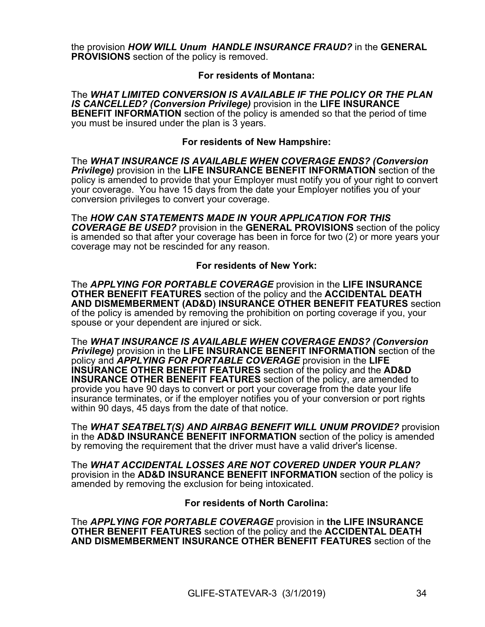the provision *HOW WILL Unum HANDLE INSURANCE FRAUD?* in the **GENERAL PROVISIONS** section of the policy is removed.

# **For residents of Montana:**

The *WHAT LIMITED CONVERSION IS AVAILABLE IF THE POLICY OR THE PLAN IS CANCELLED? (Conversion Privilege)* provision in the **LIFE INSURANCE BENEFIT INFORMATION** section of the policy is amended so that the period of time you must be insured under the plan is 3 years.

### **For residents of New Hampshire:**

The *WHAT INSURANCE IS AVAILABLE WHEN COVERAGE ENDS? (Conversion Privilege)* provision in the **LIFE INSURANCE BENEFIT INFORMATION** section of the policy is amended to provide that your Employer must notify you of your right to convert your coverage. You have 15 days from the date your Employer notifies you of your conversion privileges to convert your coverage.

The *HOW CAN STATEMENTS MADE IN YOUR APPLICATION FOR THIS COVERAGE BE USED?* provision in the **GENERAL PROVISIONS** section of the policy is amended so that after your coverage has been in force for two (2) or more years your coverage may not be rescinded for any reason.

# **For residents of New York:**

The *APPLYING FOR PORTABLE COVERAGE* provision in the **LIFE INSURANCE OTHER BENEFIT FEATURES** section of the policy and the **ACCIDENTAL DEATH AND DISMEMBERMENT (AD&D) INSURANCE OTHER BENEFIT FEATURES** section of the policy is amended by removing the prohibition on porting coverage if you, your spouse or your dependent are injured or sick.

The *WHAT INSURANCE IS AVAILABLE WHEN COVERAGE ENDS? (Conversion Privilege)* provision in the **LIFE INSURANCE BENEFIT INFORMATION** section of the policy and *APPLYING FOR PORTABLE COVERAGE* provision in the **LIFE INSURANCE OTHER BENEFIT FEATURES** section of the policy and the **AD&D INSURANCE OTHER BENEFIT FEATURES** section of the policy, are amended to provide you have 90 days to convert or port your coverage from the date your life insurance terminates, or if the employer notifies you of your conversion or port rights within 90 days, 45 days from the date of that notice.

The *WHAT SEATBELT(S) AND AIRBAG BENEFIT WILL UNUM PROVIDE?* provision in the **AD&D INSURANCE BENEFIT INFORMATION** section of the policy is amended by removing the requirement that the driver must have a valid driver's license.

The *WHAT ACCIDENTAL LOSSES ARE NOT COVERED UNDER YOUR PLAN?* provision in the **AD&D INSURANCE BENEFIT INFORMATION** section of the policy is amended by removing the exclusion for being intoxicated.

### **For residents of North Carolina:**

The *APPLYING FOR PORTABLE COVERAGE* provision in **the LIFE INSURANCE OTHER BENEFIT FEATURES** section of the policy and the **ACCIDENTAL DEATH AND DISMEMBERMENT INSURANCE OTHER BENEFIT FEATURES** section of the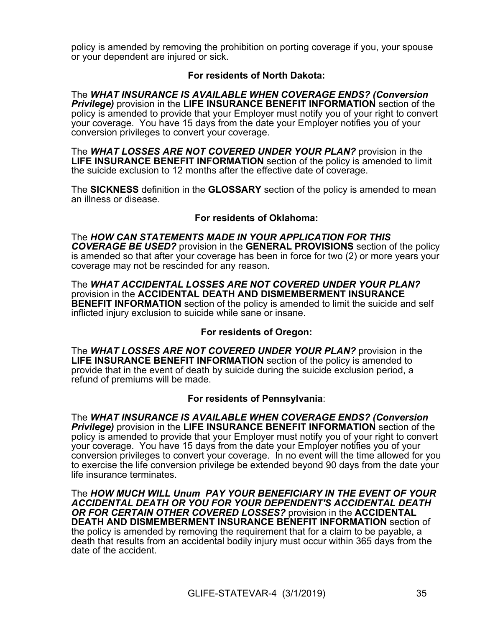policy is amended by removing the prohibition on porting coverage if you, your spouse or your dependent are injured or sick.

# **For residents of North Dakota:**

The *WHAT INSURANCE IS AVAILABLE WHEN COVERAGE ENDS? (Conversion Privilege)* provision in the **LIFE INSURANCE BENEFIT INFORMATION** section of the policy is amended to provide that your Employer must notify you of your right to convert your coverage. You have 15 days from the date your Employer notifies you of your conversion privileges to convert your coverage.

The *WHAT LOSSES ARE NOT COVERED UNDER YOUR PLAN?* provision in the **LIFE INSURANCE BENEFIT INFORMATION** section of the policy is amended to limit the suicide exclusion to 12 months after the effective date of coverage.

The **SICKNESS** definition in the **GLOSSARY** section of the policy is amended to mean an illness or disease.

### **For residents of Oklahoma:**

The *HOW CAN STATEMENTS MADE IN YOUR APPLICATION FOR THIS COVERAGE BE USED?* provision in the **GENERAL PROVISIONS** section of the policy is amended so that after your coverage has been in force for two (2) or more years your coverage may not be rescinded for any reason.

The *WHAT ACCIDENTAL LOSSES ARE NOT COVERED UNDER YOUR PLAN?* provision in the **ACCIDENTAL DEATH AND DISMEMBERMENT INSURANCE BENEFIT INFORMATION** section of the policy is amended to limit the suicide and self inflicted injury exclusion to suicide while sane or insane.

### **For residents of Oregon:**

The *WHAT LOSSES ARE NOT COVERED UNDER YOUR PLAN?* provision in the **LIFE INSURANCE BENEFIT INFORMATION** section of the policy is amended to provide that in the event of death by suicide during the suicide exclusion period, a refund of premiums will be made.

### **For residents of Pennsylvania**:

The *WHAT INSURANCE IS AVAILABLE WHEN COVERAGE ENDS? (Conversion Privilege)* provision in the **LIFE INSURANCE BENEFIT INFORMATION** section of the policy is amended to provide that your Employer must notify you of your right to convert your coverage. You have 15 days from the date your Employer notifies you of your conversion privileges to convert your coverage. In no event will the time allowed for you to exercise the life conversion privilege be extended beyond 90 days from the date your life insurance terminates.

The *HOW MUCH WILL Unum PAY YOUR BENEFICIARY IN THE EVENT OF YOUR ACCIDENTAL DEATH OR YOU FOR YOUR DEPENDENT'S ACCIDENTAL DEATH OR FOR CERTAIN OTHER COVERED LOSSES?* provision in the **ACCIDENTAL DEATH AND DISMEMBERMENT INSURANCE BENEFIT INFORMATION** section of the policy is amended by removing the requirement that for a claim to be payable, a death that results from an accidental bodily injury must occur within 365 days from the date of the accident.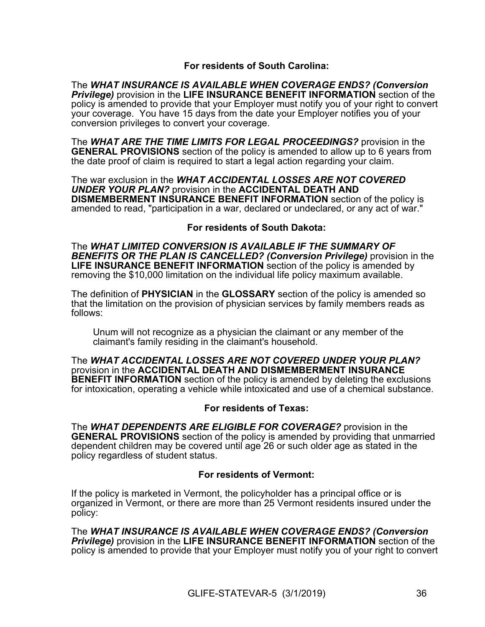# **For residents of South Carolina:**

The *WHAT INSURANCE IS AVAILABLE WHEN COVERAGE ENDS? (Conversion Privilege)* provision in the **LIFE INSURANCE BENEFIT INFORMATION** section of the policy is amended to provide that your Employer must notify you of your right to convert your coverage. You have 15 days from the date your Employer notifies you of your conversion privileges to convert your coverage.

The *WHAT ARE THE TIME LIMITS FOR LEGAL PROCEEDINGS?* provision in the **GENERAL PROVISIONS** section of the policy is amended to allow up to 6 years from the date proof of claim is required to start a legal action regarding your claim.

The war exclusion in the *WHAT ACCIDENTAL LOSSES ARE NOT COVERED UNDER YOUR PLAN?* provision in the **ACCIDENTAL DEATH AND DISMEMBERMENT INSURANCE BENEFIT INFORMATION** section of the policy is amended to read, "participation in a war, declared or undeclared, or any act of war."

### **For residents of South Dakota:**

The *WHAT LIMITED CONVERSION IS AVAILABLE IF THE SUMMARY OF BENEFITS OR THE PLAN IS CANCELLED? (Conversion Privilege)* provision in the **LIFE INSURANCE BENEFIT INFORMATION** section of the policy is amended by removing the \$10,000 limitation on the individual life policy maximum available.

The definition of **PHYSICIAN** in the **GLOSSARY** section of the policy is amended so that the limitation on the provision of physician services by family members reads as follows:

Unum will not recognize as a physician the claimant or any member of the claimant's family residing in the claimant's household.

The *WHAT ACCIDENTAL LOSSES ARE NOT COVERED UNDER YOUR PLAN?* provision in the **ACCIDENTAL DEATH AND DISMEMBERMENT INSURANCE BENEFIT INFORMATION** section of the policy is amended by deleting the exclusions for intoxication, operating a vehicle while intoxicated and use of a chemical substance.

### **For residents of Texas:**

The *WHAT DEPENDENTS ARE ELIGIBLE FOR COVERAGE?* provision in the **GENERAL PROVISIONS** section of the policy is amended by providing that unmarried dependent children may be covered until age 26 or such older age as stated in the policy regardless of student status.

### **For residents of Vermont:**

If the policy is marketed in Vermont, the policyholder has a principal office or is organized in Vermont, or there are more than 25 Vermont residents insured under the policy:

The *WHAT INSURANCE IS AVAILABLE WHEN COVERAGE ENDS? (Conversion Privilege)* provision in the **LIFE INSURANCE BENEFIT INFORMATION** section of the policy is amended to provide that your Employer must notify you of your right to convert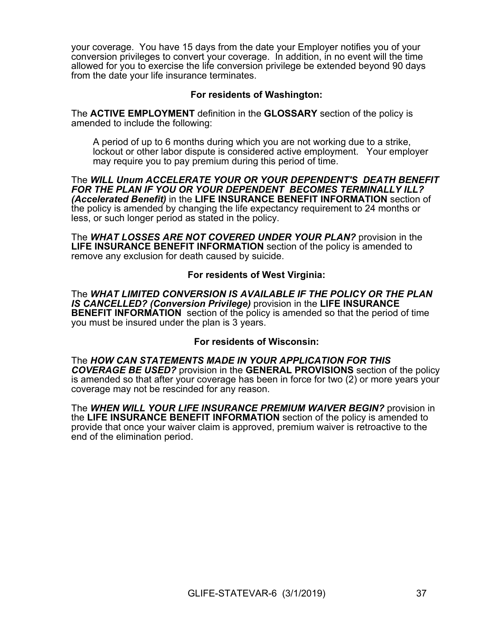your coverage. You have 15 days from the date your Employer notifies you of your conversion privileges to convert your coverage. In addition, in no event will the time allowed for you to exercise the life conversion privilege be extended beyond 90 days from the date your life insurance terminates.

# **For residents of Washington:**

The **ACTIVE EMPLOYMENT** definition in the **GLOSSARY** section of the policy is amended to include the following:

A period of up to 6 months during which you are not working due to a strike, lockout or other labor dispute is considered active employment. Your employer may require you to pay premium during this period of time.

The *WILL Unum ACCELERATE YOUR OR YOUR DEPENDENT'S DEATH BENEFIT FOR THE PLAN IF YOU OR YOUR DEPENDENT BECOMES TERMINALLY ILL? (Accelerated Benefit)* in the **LIFE INSURANCE BENEFIT INFORMATION** section of the policy is amended by changing the life expectancy requirement to 24 months or less, or such longer period as stated in the policy.

The *WHAT LOSSES ARE NOT COVERED UNDER YOUR PLAN?* provision in the **LIFE INSURANCE BENEFIT INFORMATION** section of the policy is amended to remove any exclusion for death caused by suicide.

### **For residents of West Virginia:**

The *WHAT LIMITED CONVERSION IS AVAILABLE IF THE POLICY OR THE PLAN IS CANCELLED? (Conversion Privilege)* provision in the **LIFE INSURANCE BENEFIT INFORMATION** section of the policy is amended so that the period of time you must be insured under the plan is 3 years.

### **For residents of Wisconsin:**

The *HOW CAN STATEMENTS MADE IN YOUR APPLICATION FOR THIS COVERAGE BE USED?* provision in the **GENERAL PROVISIONS** section of the policy is amended so that after your coverage has been in force for two (2) or more years your coverage may not be rescinded for any reason.

The *WHEN WILL YOUR LIFE INSURANCE PREMIUM WAIVER BEGIN?* provision in the **LIFE INSURANCE BENEFIT INFORMATION** section of the policy is amended to provide that once your waiver claim is approved, premium waiver is retroactive to the end of the elimination period.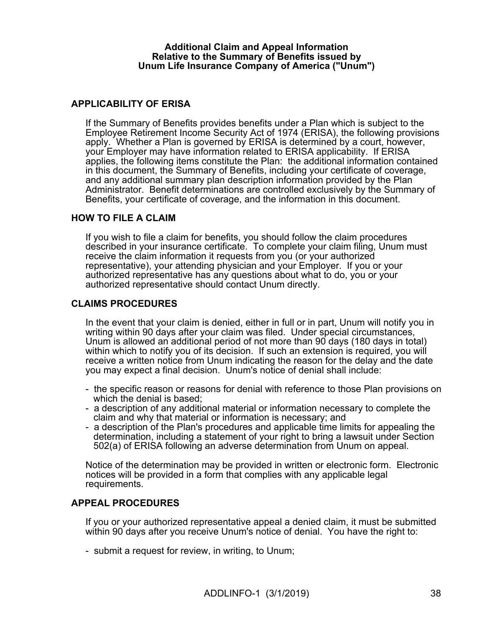### **Additional Claim and Appeal Information Relative to the Summary of Benefits issued by Unum Life Insurance Company of America ("Unum")**

# **APPLICABILITY OF ERISA**

If the Summary of Benefits provides benefits under a Plan which is subject to the Employee Retirement Income Security Act of 1974 (ERISA), the following provisions apply. Whether a Plan is governed by ERISA is determined by a court, however, your Employer may have information related to ERISA applicability. If ERISA applies, the following items constitute the Plan: the additional information contained in this document, the Summary of Benefits, including your certificate of coverage, and any additional summary plan description information provided by the Plan Administrator. Benefit determinations are controlled exclusively by the Summary of Benefits, your certificate of coverage, and the information in this document.

### **HOW TO FILE A CLAIM**

If you wish to file a claim for benefits, you should follow the claim procedures described in your insurance certificate. To complete your claim filing, Unum must receive the claim information it requests from you (or your authorized representative), your attending physician and your Employer. If you or your authorized representative has any questions about what to do, you or your authorized representative should contact Unum directly.

# **CLAIMS PROCEDURES**

In the event that your claim is denied, either in full or in part, Unum will notify you in writing within 90 days after your claim was filed. Under special circumstances, Unum is allowed an additional period of not more than 90 days (180 days in total) within which to notify you of its decision. If such an extension is required, you will receive a written notice from Unum indicating the reason for the delay and the date you may expect a final decision. Unum's notice of denial shall include:

- the specific reason or reasons for denial with reference to those Plan provisions on which the denial is based;
- a description of any additional material or information necessary to complete the claim and why that material or information is necessary; and
- a description of the Plan's procedures and applicable time limits for appealing the determination, including a statement of your right to bring a lawsuit under Section 502(a) of ERISA following an adverse determination from Unum on appeal.

Notice of the determination may be provided in written or electronic form. Electronic notices will be provided in a form that complies with any applicable legal requirements.

### **APPEAL PROCEDURES**

If you or your authorized representative appeal a denied claim, it must be submitted within 90 days after you receive Unum's notice of denial. You have the right to:

- submit a request for review, in writing, to Unum;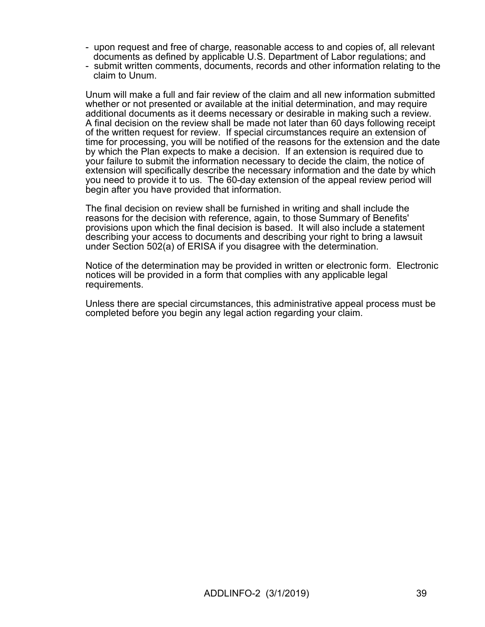- upon request and free of charge, reasonable access to and copies of, all relevant documents as defined by applicable U.S. Department of Labor regulations; and
- submit written comments, documents, records and other information relating to the claim to Unum.

Unum will make a full and fair review of the claim and all new information submitted whether or not presented or available at the initial determination, and may require additional documents as it deems necessary or desirable in making such a review. A final decision on the review shall be made not later than 60 days following receipt of the written request for review. If special circumstances require an extension of time for processing, you will be notified of the reasons for the extension and the date by which the Plan expects to make a decision. If an extension is required due to your failure to submit the information necessary to decide the claim, the notice of extension will specifically describe the necessary information and the date by which you need to provide it to us. The 60-day extension of the appeal review period will begin after you have provided that information.

The final decision on review shall be furnished in writing and shall include the reasons for the decision with reference, again, to those Summary of Benefits' provisions upon which the final decision is based. It will also include a statement describing your access to documents and describing your right to bring a lawsuit under Section 502(a) of ERISA if you disagree with the determination.

Notice of the determination may be provided in written or electronic form. Electronic notices will be provided in a form that complies with any applicable legal requirements.

Unless there are special circumstances, this administrative appeal process must be completed before you begin any legal action regarding your claim.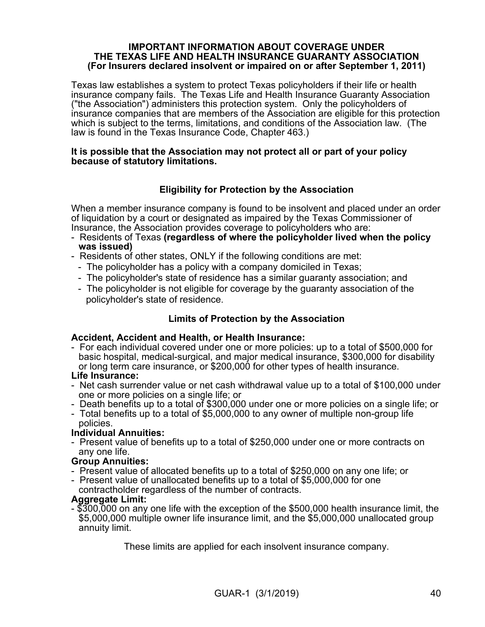### **IMPORTANT INFORMATION ABOUT COVERAGE UNDER THE TEXAS LIFE AND HEALTH INSURANCE GUARANTY ASSOCIATION (For Insurers declared insolvent or impaired on or after September 1, 2011)**

Texas law establishes a system to protect Texas policyholders if their life or health insurance company fails. The Texas Life and Health Insurance Guaranty Association ("the Association") administers this protection system. Only the policyholders of insurance companies that are members of the Association are eligible for this protection which is subject to the terms, limitations, and conditions of the Association law. (The law is found in the Texas Insurance Code, Chapter 463.)

### **It is possible that the Association may not protect all or part of your policy because of statutory limitations.**

# **Eligibility for Protection by the Association**

When a member insurance company is found to be insolvent and placed under an order of liquidation by a court or designated as impaired by the Texas Commissioner of Insurance, the Association provides coverage to policyholders who are:

- Residents of Texas **(regardless of where the policyholder lived when the policy was issued)**
- Residents of other states, ONLY if the following conditions are met:
	- The policyholder has a policy with a company domiciled in Texas;
	- The policyholder's state of residence has a similar guaranty association; and
	- The policyholder is not eligible for coverage by the guaranty association of the policyholder's state of residence.

# **Limits of Protection by the Association**

# **Accident, Accident and Health, or Health Insurance:**

- For each individual covered under one or more policies: up to a total of \$500,000 for basic hospital, medical-surgical, and major medical insurance, \$300,000 for disability or long term care insurance, or \$200,000 for other types of health insurance.

### **Life Insurance:**

- Net cash surrender value or net cash withdrawal value up to a total of \$100,000 under one or more policies on a single life; or
- Death benefits up to a total of \$300,000 under one or more policies on a single life; or
- Total benefits up to a total of \$5,000,000 to any owner of multiple non-group life policies.

### **Individual Annuities:**

- Present value of benefits up to a total of \$250,000 under one or more contracts on any one life.

# **Group Annuities:**

- Present value of allocated benefits up to a total of \$250,000 on any one life; or
- Present value of unallocated benefits up to a total of \$5,000,000 for one
- contractholder regardless of the number of contracts.

### **Aggregate Limit:**

- \$300,000 on any one life with the exception of the \$500,000 health insurance limit, the \$5,000,000 multiple owner life insurance limit, and the \$5,000,000 unallocated group annuity limit.

These limits are applied for each insolvent insurance company.